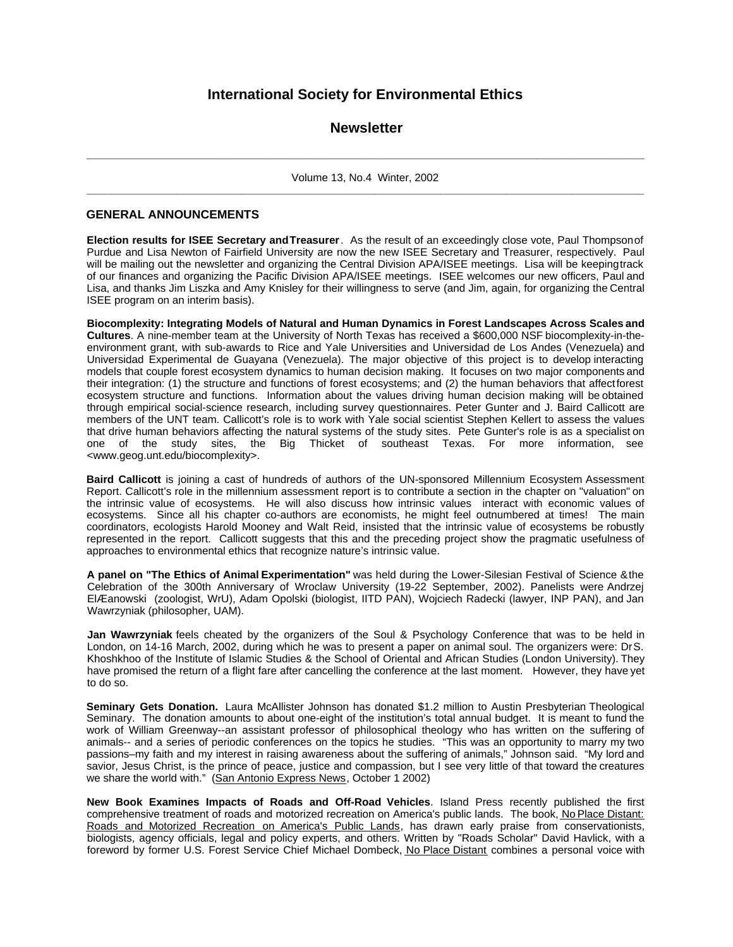# **International Society for Environmental Ethics**

# **Newsletter**

**\_ \_ \_ \_ \_ \_ \_ \_ \_ \_ \_ \_ \_ \_ \_ \_ \_ \_ \_ \_ \_ \_ \_ \_ \_ \_ \_ \_ \_ \_ \_ \_ \_ \_ \_ \_ \_ \_ \_ \_ \_ \_ \_ \_ \_ \_ \_ \_ \_ \_ \_ \_ \_ \_ \_ \_ \_ \_ \_ \_ \_ \_ \_ \_ \_ \_ \_ \_ \_ \_ \_ \_ \_ \_ \_ \_ \_ \_ \_ \_ \_ \_ \_ \_ \_ \_ \_ \_ \_ \_ \_ \_ \_** Volume 13, No.4 Winter, 2002 **\_\_\_\_\_\_\_\_\_\_\_\_\_\_\_\_\_\_\_\_\_\_\_\_\_\_\_\_\_\_\_\_\_\_\_\_\_\_\_\_\_\_\_\_\_\_\_\_\_\_\_\_\_\_\_\_\_\_\_\_\_\_\_\_\_\_\_\_\_\_\_\_\_\_\_\_\_\_\_\_\_\_\_\_\_\_\_\_\_\_\_\_\_**

# **GENERAL ANNOUNCEMENTS**

**Election results for ISEE Secretary and Treasurer**. As the result of an exceedingly close vote, Paul Thompson of Purdue and Lisa Newton of Fairfield University are now the new ISEE Secretary and Treasurer, respectively. Paul will be mailing out the newsletter and organizing the Central Division APA/ISEE meetings. Lisa will be keeping track of our finances and organizing the Pacific Division APA/ISEE meetings. ISEE welcomes our new officers, Paul and Lisa, and thanks Jim Liszka and Amy Knisley for their willingness to serve (and Jim, again, for organizing the Central ISEE program on an interim basis).

**Biocomplexity: Integrating Models of Natural and Human Dynamics in Forest Landscapes Across Scales and Cultures**. A nine-member team at the University of North Texas has received a \$600,000 NSF biocomplexity-in-theenvironment grant, with sub-awards to Rice and Yale Universities and Universidad de Los Andes (Venezuela) and Universidad Experimental de Guayana (Venezuela). The major objective of this project is to develop interacting models that couple forest ecosystem dynamics to human decision making. It focuses on two major components and their integration: (1) the structure and functions of forest ecosystems; and (2) the human behaviors that affect forest ecosystem structure and functions. Information about the values driving human decision making will be obtained through empirical social-science research, including survey questionnaires. Peter Gunter and J. Baird Callicott are members of the UNT team. Callicott's role is to work with Yale social scientist Stephen Kellert to assess the values that drive human behaviors affecting the natural systems of the study sites. Pete Gunter's role is as a specialist on one of the study sites, the Big Thicket of southeast Texas. For more information, see <www.geog.unt.edu/biocomplexity>.

**Baird Callicott** is joining a cast of hundreds of authors of the UN-sponsored Millennium Ecosystem Assessment Report. Callicott's role in the millennium assessment report is to contribute a section in the chapter on "valuation" on the intrinsic value of ecosystems. He will also discuss how intrinsic values interact with economic values of ecosystems. Since all his chapter co-authors are economists, he might feel outnumbered at times! The main coordinators, ecologists Harold Mooney and Walt Reid, insisted that the intrinsic value of ecosystems be robustly represented in the report. Callicott suggests that this and the preceding project show the pragmatic usefulness of approaches to environmental ethics that recognize nature's intrinsic value.

**A panel on "The Ethics of Animal Experimentation"** was held during the Lower-Silesian Festival of Science & the Celebration of the 300th Anniversary of Wroclaw University (19-22 September, 2002). Panelists were Andrzej ElÆanowski (zoologist, WrU), Adam Opolski (biologist, IITD PAN), Wojciech Radecki (lawyer, INP PAN), and Jan Wawrzyniak (philosopher, UAM).

**Jan Wawrzyniak** feels cheated by the organizers of the Soul & Psychology Conference that was to be held in London, on 14-16 March, 2002, during which he was to present a paper on animal soul. The organizers were: Dr S. Khoshkhoo of the Institute of Islamic Studies & the School of Oriental and African Studies (London University). They have promised the return of a flight fare after cancelling the conference at the last moment. However, they have yet to do so.

**Seminary Gets Donation.** Laura McAllister Johnson has donated \$1.2 million to Austin Presbyterian Theological Seminary. The donation amounts to about one-eight of the institution's total annual budget. It is meant to fund the work of William Greenway--an assistant professor of philosophical theology who has written on the suffering of animals-- and a series of periodic conferences on the topics he studies. "This was an opportunity to marry my two passions–my faith and my interest in raising awareness about the suffering of animals," Johnson said. "My lord and savior, Jesus Christ, is the prince of peace, justice and compassion, but I see very little of that toward the creatures we share the world with." (San Antonio Express News, October 1 2002)

**New Book Examines Impacts of Roads and Off-Road Vehicles**. Island Press recently published the first comprehensive treatment of roads and motorized recreation on America's public lands. The book, No Place Distant: Roads and Motorized Recreation on America's Public Lands, has drawn early praise from conservationists, biologists, agency officials, legal and policy experts, and others. Written by "Roads Scholar" David Havlick, with a foreword by former U.S. Forest Service Chief Michael Dombeck, No Place Distant combines a personal voice with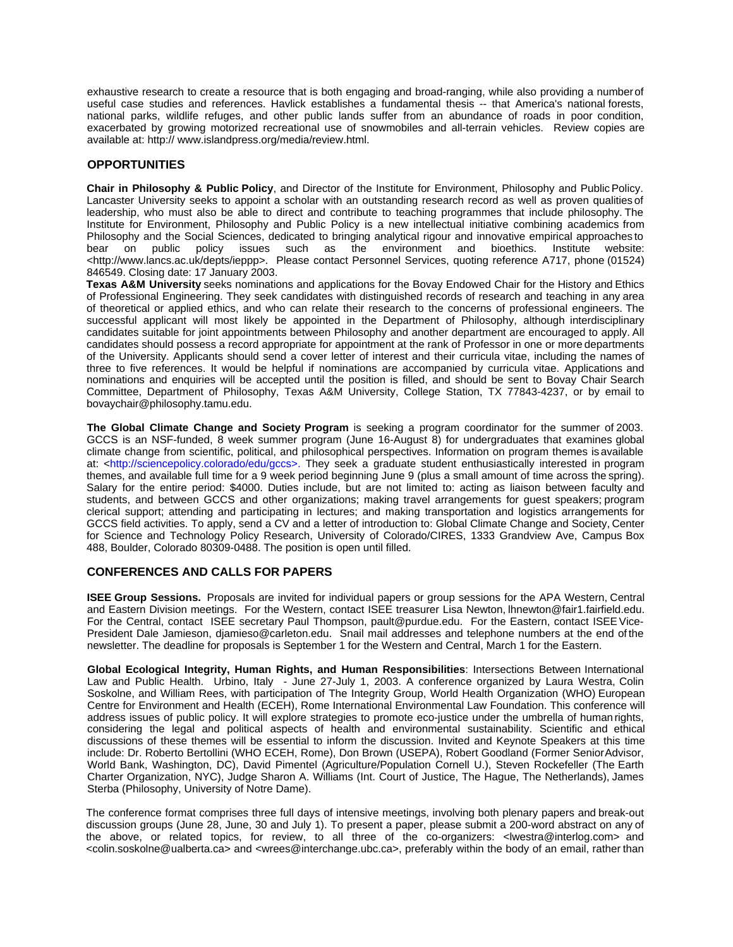exhaustive research to create a resource that is both engaging and broad-ranging, while also providing a number of useful case studies and references. Havlick establishes a fundamental thesis -- that America's national forests, national parks, wildlife refuges, and other public lands suffer from an abundance of roads in poor condition, exacerbated by growing motorized recreational use of snowmobiles and all-terrain vehicles. Review copies are available at: http:// www.islandpress.org/media/review.html.

# **OPPORTUNITIES**

**Chair in Philosophy & Public Policy**, and Director of the Institute for Environment, Philosophy and Public Policy. Lancaster University seeks to appoint a scholar with an outstanding research record as well as proven qualities of leadership, who must also be able to direct and contribute to teaching programmes that include philosophy. The Institute for Environment, Philosophy and Public Policy is a new intellectual initiative combining academics from Philosophy and the Social Sciences, dedicated to bringing analytical rigour and innovative empirical approaches to<br>bear on public policy issues such as the environment and bioethics. Institute website: bear on public policy issues such as the environment and bioethics. Institute website: <http://www.lancs.ac.uk/depts/ieppp>. Please contact Personnel Services, quoting reference A717, phone (01524) 846549. Closing date: 17 January 2003.

**Texas A&M University** seeks nominations and applications for the Bovay Endowed Chair for the History and Ethics of Professional Engineering. They seek candidates with distinguished records of research and teaching in any area of theoretical or applied ethics, and who can relate their research to the concerns of professional engineers. The successful applicant will most likely be appointed in the Department of Philosophy, although interdisciplinary candidates suitable for joint appointments between Philosophy and another department are encouraged to apply. All candidates should possess a record appropriate for appointment at the rank of Professor in one or more departments of the University. Applicants should send a cover letter of interest and their curricula vitae, including the names of three to five references. It would be helpful if nominations are accompanied by curricula vitae. Applications and nominations and enquiries will be accepted until the position is filled, and should be sent to Bovay Chair Search Committee, Department of Philosophy, Texas A&M University, College Station, TX 77843-4237, or by email to bovaychair@philosophy.tamu.edu.

**The Global Climate Change and Society Program** is seeking a program coordinator for the summer of 2003. GCCS is an NSF-funded, 8 week summer program (June 16-August 8) for undergraduates that examines global climate change from scientific, political, and philosophical perspectives. Information on program themes is available at: <http://sciencepolicy.colorado/edu/gccs>. They seek a graduate student enthusiastically interested in program themes, and available full time for a 9 week period beginning June 9 (plus a small amount of time across the spring). Salary for the entire period: \$4000. Duties include, but are not limited to: acting as liaison between faculty and students, and between GCCS and other organizations; making travel arrangements for guest speakers; program clerical support; attending and participating in lectures; and making transportation and logistics arrangements for GCCS field activities. To apply, send a CV and a letter of introduction to: Global Climate Change and Society, Center for Science and Technology Policy Research, University of Colorado/CIRES, 1333 Grandview Ave, Campus Box 488, Boulder, Colorado 80309-0488. The position is open until filled.

## **CONFERENCES AND CALLS FOR PAPERS**

**ISEE Group Sessions.** Proposals are invited for individual papers or group sessions for the APA Western, Central and Eastern Division meetings. For the Western, contact ISEE treasurer Lisa Newton, lhnewton@fair1.fairfield.edu. For the Central, contact ISEE secretary Paul Thompson, pault@purdue.edu. For the Eastern, contact ISEE Vice-President Dale Jamieson, djamieso@carleton.edu. Snail mail addresses and telephone numbers at the end of the newsletter. The deadline for proposals is September 1 for the Western and Central, March 1 for the Eastern.

**Global Ecological Integrity, Human Rights, and Human Responsibilities**: Intersections Between International Law and Public Health. Urbino, Italy - June 27-July 1, 2003. A conference organized by Laura Westra, Colin Soskolne, and William Rees, with participation of The Integrity Group, World Health Organization (WHO) European Centre for Environment and Health (ECEH), Rome International Environmental Law Foundation. This conference will address issues of public policy. It will explore strategies to promote eco-justice under the umbrella of human rights, considering the legal and political aspects of health and environmental sustainability. Scientific and ethical discussions of these themes will be essential to inform the discussion. Invited and Keynote Speakers at this time include: Dr. Roberto Bertollini (WHO ECEH, Rome), Don Brown (USEPA), Robert Goodland (Former Senior Advisor, World Bank, Washington, DC), David Pimentel (Agriculture/Population Cornell U.), Steven Rockefeller (The Earth Charter Organization, NYC), Judge Sharon A. Williams (Int. Court of Justice, The Hague, The Netherlands), James Sterba (Philosophy, University of Notre Dame).

The conference format comprises three full days of intensive meetings, involving both plenary papers and break-out discussion groups (June 28, June, 30 and July 1). To present a paper, please submit a 200-word abstract on any of the above, or related topics, for review, to all three of the co-organizers: <lwestra@interlog.com> and <colin.soskolne@ualberta.ca> and <wrees@interchange.ubc.ca>, preferably within the body of an email, rather than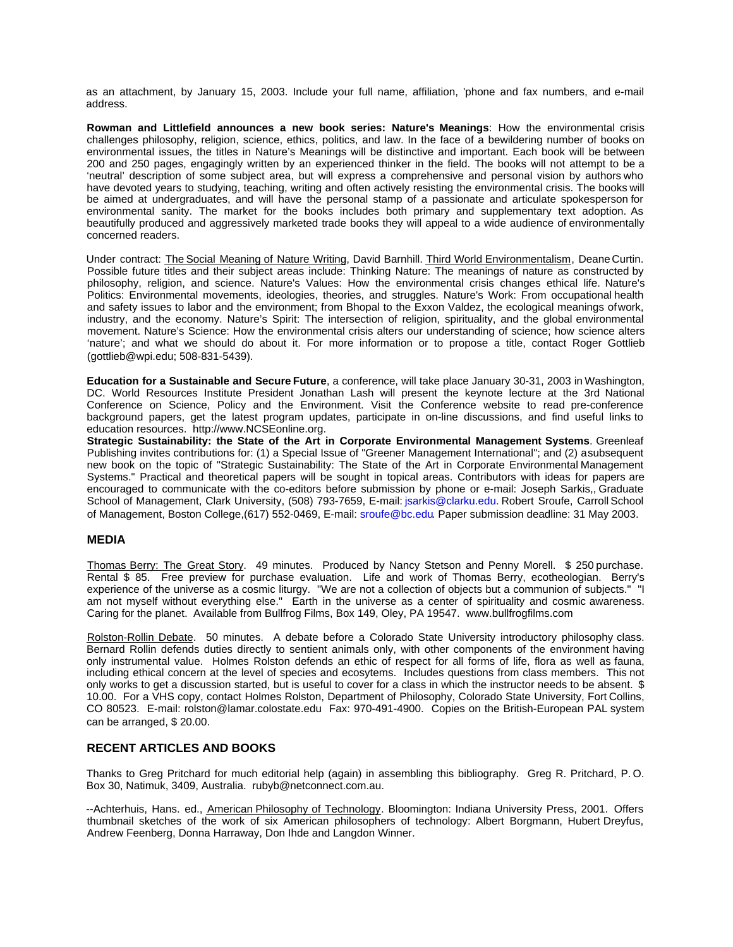as an attachment, by January 15, 2003. Include your full name, affiliation, 'phone and fax numbers, and e-mail address.

**Rowman and Littlefield announces a new book series: Nature's Meanings**: How the environmental crisis challenges philosophy, religion, science, ethics, politics, and law. In the face of a bewildering number of books on environmental issues, the titles in Nature's Meanings will be distinctive and important. Each book will be between 200 and 250 pages, engagingly written by an experienced thinker in the field. The books will not attempt to be a 'neutral' description of some subject area, but will express a comprehensive and personal vision by authors who have devoted years to studying, teaching, writing and often actively resisting the environmental crisis. The books will be aimed at undergraduates, and will have the personal stamp of a passionate and articulate spokesperson for environmental sanity. The market for the books includes both primary and supplementary text adoption. As beautifully produced and aggressively marketed trade books they will appeal to a wide audience of environmentally concerned readers.

Under contract: The Social Meaning of Nature Writing, David Barnhill. Third World Environmentalism, Deane Curtin. Possible future titles and their subject areas include: Thinking Nature: The meanings of nature as constructed by philosophy, religion, and science. Nature's Values: How the environmental crisis changes ethical life. Nature's Politics: Environmental movements, ideologies, theories, and struggles. Nature's Work: From occupational health and safety issues to labor and the environment; from Bhopal to the Exxon Valdez, the ecological meanings of work, industry, and the economy. Nature's Spirit: The intersection of religion, spirituality, and the global environmental movement. Nature's Science: How the environmental crisis alters our understanding of science; how science alters 'nature'; and what we should do about it. For more information or to propose a title, contact Roger Gottlieb (gottlieb@wpi.edu; 508-831-5439).

**Education for a Sustainable and Secure Future**, a conference, will take place January 30-31, 2003 in Washington, DC. World Resources Institute President Jonathan Lash will present the keynote lecture at the 3rd National Conference on Science, Policy and the Environment. Visit the Conference website to read pre-conference background papers, get the latest program updates, participate in on-line discussions, and find useful links to education resources. http://www.NCSEonline.org.

**Strategic Sustainability: the State of the Art in Corporate Environmental Management Systems**. Greenleaf Publishing invites contributions for: (1) a Special Issue of "Greener Management International"; and (2) a subsequent new book on the topic of "Strategic Sustainability: The State of the Art in Corporate Environmental Management Systems." Practical and theoretical papers will be sought in topical areas. Contributors with ideas for papers are encouraged to communicate with the co-editors before submission by phone or e-mail: Joseph Sarkis,, Graduate School of Management, Clark University, (508) 793-7659, E-mail: jsarkis@clarku.edu. Robert Sroufe, Carroll School of Management, Boston College,(617) 552-0469, E-mail: sroufe@bc.edu. Paper submission deadline: 31 May 2003.

# **MEDIA**

Thomas Berry: The Great Story. 49 minutes. Produced by Nancy Stetson and Penny Morell. \$ 250 purchase. Rental \$ 85. Free preview for purchase evaluation. Life and work of Thomas Berry, ecotheologian. Berry's experience of the universe as a cosmic liturgy. "We are not a collection of objects but a communion of subjects." "I am not myself without everything else." Earth in the universe as a center of spirituality and cosmic awareness. Caring for the planet. Available from Bullfrog Films, Box 149, Oley, PA 19547. www.bullfrogfilms.com

Rolston-Rollin Debate. 50 minutes. A debate before a Colorado State University introductory philosophy class. Bernard Rollin defends duties directly to sentient animals only, with other components of the environment having only instrumental value. Holmes Rolston defends an ethic of respect for all forms of life, flora as well as fauna, including ethical concern at the level of species and ecosytems. Includes questions from class members. This not only works to get a discussion started, but is useful to cover for a class in which the instructor needs to be absent. \$ 10.00. For a VHS copy, contact Holmes Rolston, Department of Philosophy, Colorado State University, Fort Collins, CO 80523. E-mail: rolston@lamar.colostate.edu Fax: 970-491-4900. Copies on the British-European PAL system can be arranged, \$ 20.00.

# **RECENT ARTICLES AND BOOKS**

Thanks to Greg Pritchard for much editorial help (again) in assembling this bibliography. Greg R. Pritchard, P. O. Box 30, Natimuk, 3409, Australia. rubyb@netconnect.com.au.

--Achterhuis, Hans. ed., American Philosophy of Technology. Bloomington: Indiana University Press, 2001. Offers thumbnail sketches of the work of six American philosophers of technology: Albert Borgmann, Hubert Dreyfus, Andrew Feenberg, Donna Harraway, Don Ihde and Langdon Winner.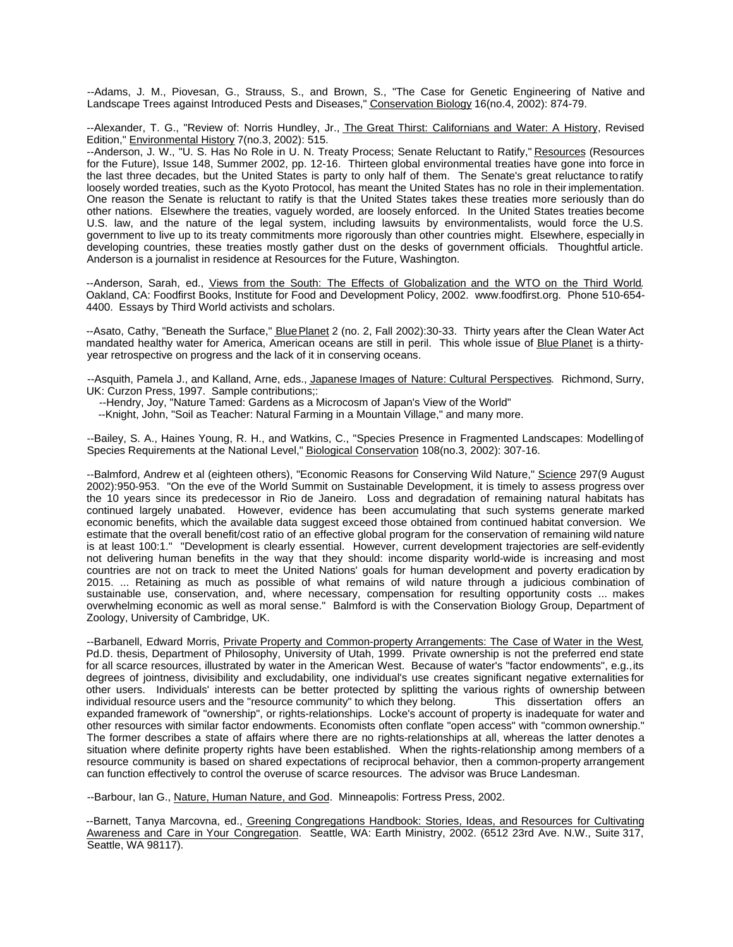--Adams, J. M., Piovesan, G., Strauss, S., and Brown, S., "The Case for Genetic Engineering of Native and Landscape Trees against Introduced Pests and Diseases," Conservation Biology 16(no.4, 2002): 874-79.

--Alexander, T. G., "Review of: Norris Hundley, Jr., The Great Thirst: Californians and Water: A History, Revised Edition," Environmental History 7(no.3, 2002): 515.

--Anderson, J. W., "U. S. Has No Role in U. N. Treaty Process; Senate Reluctant to Ratify," Resources (Resources for the Future), Issue 148, Summer 2002, pp. 12-16. Thirteen global environmental treaties have gone into force in the last three decades, but the United States is party to only half of them. The Senate's great reluctance to ratify loosely worded treaties, such as the Kyoto Protocol, has meant the United States has no role in their implementation. One reason the Senate is reluctant to ratify is that the United States takes these treaties more seriously than do other nations. Elsewhere the treaties, vaguely worded, are loosely enforced. In the United States treaties become U.S. law, and the nature of the legal system, including lawsuits by environmentalists, would force the U.S. government to live up to its treaty commitments more rigorously than other countries might. Elsewhere, especially in developing countries, these treaties mostly gather dust on the desks of government officials. Thoughtful article. Anderson is a journalist in residence at Resources for the Future, Washington.

--Anderson, Sarah, ed., Views from the South: The Effects of Globalization and the WTO on the Third World. Oakland, CA: Foodfirst Books, Institute for Food and Development Policy, 2002. www.foodfirst.org. Phone 510-654- 4400. Essays by Third World activists and scholars.

--Asato, Cathy, "Beneath the Surface," Blue Planet 2 (no. 2, Fall 2002):30-33. Thirty years after the Clean Water Act mandated healthy water for America, American oceans are still in peril. This whole issue of Blue Planet is a thirtyyear retrospective on progress and the lack of it in conserving oceans.

--Asquith, Pamela J., and Kalland, Arne, eds., Japanese Images of Nature: Cultural Perspectives. Richmond, Surry, UK: Curzon Press, 1997. Sample contributions;:

--Hendry, Joy, "Nature Tamed: Gardens as a Microcosm of Japan's View of the World"

--Knight, John, "Soil as Teacher: Natural Farming in a Mountain Village," and many more.

--Bailey, S. A., Haines Young, R. H., and Watkins, C., "Species Presence in Fragmented Landscapes: Modelling of Species Requirements at the National Level," Biological Conservation 108(no.3, 2002): 307-16.

--Balmford, Andrew et al (eighteen others), "Economic Reasons for Conserving Wild Nature," Science 297(9 August 2002):950-953. "On the eve of the World Summit on Sustainable Development, it is timely to assess progress over the 10 years since its predecessor in Rio de Janeiro. Loss and degradation of remaining natural habitats has continued largely unabated. However, evidence has been accumulating that such systems generate marked economic benefits, which the available data suggest exceed those obtained from continued habitat conversion. We estimate that the overall benefit/cost ratio of an effective global program for the conservation of remaining wild nature is at least 100:1." "Development is clearly essential. However, current development trajectories are self-evidently not delivering human benefits in the way that they should: income disparity world-wide is increasing and most countries are not on track to meet the United Nations' goals for human development and poverty eradication by 2015. ... Retaining as much as possible of what remains of wild nature through a judicious combination of sustainable use, conservation, and, where necessary, compensation for resulting opportunity costs ... makes overwhelming economic as well as moral sense." Balmford is with the Conservation Biology Group, Department of Zoology, University of Cambridge, UK.

--Barbanell, Edward Morris, Private Property and Common-property Arrangements: The Case of Water in the West, Pd.D. thesis, Department of Philosophy, University of Utah, 1999. Private ownership is not the preferred end state for all scarce resources, illustrated by water in the American West. Because of water's "factor endowments", e.g., its degrees of jointness, divisibility and excludability, one individual's use creates significant negative externalities for other users. Individuals' interests can be better protected by splitting the various rights of ownership between individual resource users and the "resource community" to which they belong. This dissertation offers an expanded framework of "ownership", or rights-relationships. Locke's account of property is inadequate for water and other resources with similar factor endowments. Economists often conflate "open access" with "common ownership." The former describes a state of affairs where there are no rights-relationships at all, whereas the latter denotes a situation where definite property rights have been established. When the rights-relationship among members of a resource community is based on shared expectations of reciprocal behavior, then a common-property arrangement can function effectively to control the overuse of scarce resources. The advisor was Bruce Landesman.

--Barbour, Ian G., Nature, Human Nature, and God. Minneapolis: Fortress Press, 2002.

--Barnett, Tanya Marcovna, ed., Greening Congregations Handbook: Stories, Ideas, and Resources for Cultivating Awareness and Care in Your Congregation. Seattle, WA: Earth Ministry, 2002. (6512 23rd Ave. N.W., Suite 317, Seattle, WA 98117).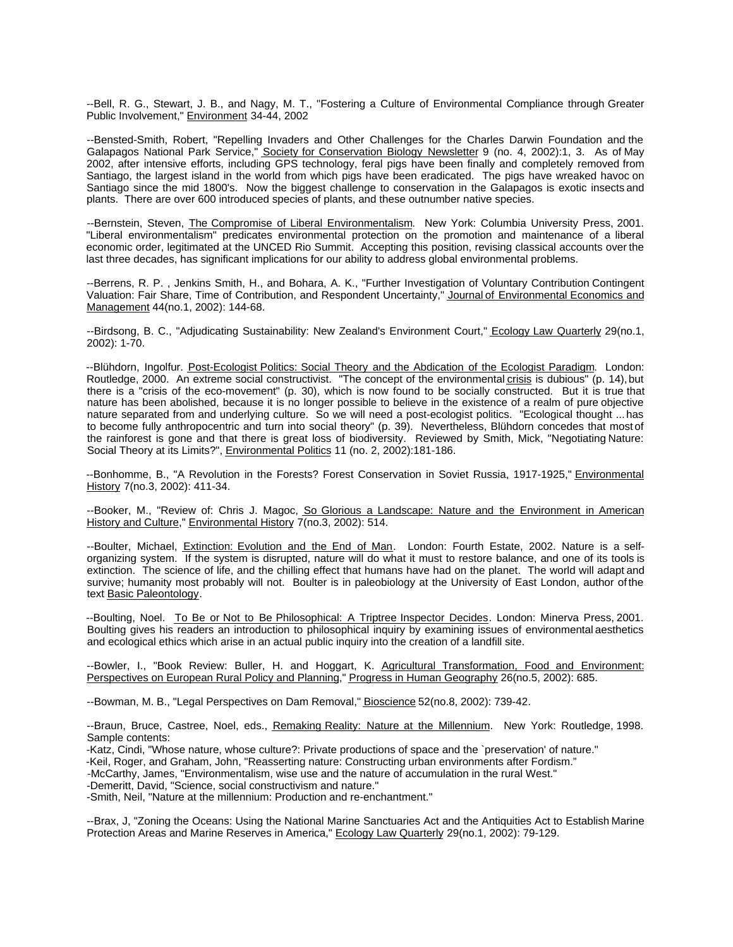--Bell, R. G., Stewart, J. B., and Nagy, M. T., "Fostering a Culture of Environmental Compliance through Greater Public Involvement," Environment 34-44, 2002

--Bensted-Smith, Robert, "Repelling Invaders and Other Challenges for the Charles Darwin Foundation and the Galapagos National Park Service," Society for Conservation Biology Newsletter 9 (no. 4, 2002):1, 3. As of May 2002, after intensive efforts, including GPS technology, feral pigs have been finally and completely removed from Santiago, the largest island in the world from which pigs have been eradicated. The pigs have wreaked havoc on Santiago since the mid 1800's. Now the biggest challenge to conservation in the Galapagos is exotic insects and plants. There are over 600 introduced species of plants, and these outnumber native species.

--Bernstein, Steven, The Compromise of Liberal Environmentalism. New York: Columbia University Press, 2001. "Liberal environmentalism" predicates environmental protection on the promotion and maintenance of a liberal economic order, legitimated at the UNCED Rio Summit. Accepting this position, revising classical accounts over the last three decades, has significant implications for our ability to address global environmental problems.

--Berrens, R. P. , Jenkins Smith, H., and Bohara, A. K., "Further Investigation of Voluntary Contribution Contingent Valuation: Fair Share, Time of Contribution, and Respondent Uncertainty," Journal of Environmental Economics and Management 44(no.1, 2002): 144-68.

--Birdsong, B. C., "Adjudicating Sustainability: New Zealand's Environment Court," Ecology Law Quarterly 29(no.1, 2002): 1-70.

--Blühdorn, Ingolfur. Post-Ecologist Politics: Social Theory and the Abdication of the Ecologist Paradigm. London: Routledge, 2000. An extreme social constructivist. "The concept of the environmental crisis is dubious" (p. 14), but there is a "crisis of the eco-movement" (p. 30), which is now found to be socially constructed. But it is true that nature has been abolished, because it is no longer possible to believe in the existence of a realm of pure objective nature separated from and underlying culture. So we will need a post-ecologist politics. "Ecological thought ... has to become fully anthropocentric and turn into social theory" (p. 39). Nevertheless, Blühdorn concedes that most of the rainforest is gone and that there is great loss of biodiversity. Reviewed by Smith, Mick, "Negotiating Nature: Social Theory at its Limits?", Environmental Politics 11 (no. 2, 2002):181-186.

--Bonhomme, B., "A Revolution in the Forests? Forest Conservation in Soviet Russia, 1917-1925," Environmental History 7(no.3, 2002): 411-34.

--Booker, M., "Review of: Chris J. Magoc, So Glorious a Landscape: Nature and the Environment in American History and Culture," Environmental History 7(no.3, 2002): 514.

--Boulter, Michael, Extinction: Evolution and the End of Man. London: Fourth Estate, 2002. Nature is a selforganizing system. If the system is disrupted, nature will do what it must to restore balance, and one of its tools is extinction. The science of life, and the chilling effect that humans have had on the planet. The world will adapt and survive; humanity most probably will not. Boulter is in paleobiology at the University of East London, author of the text Basic Paleontology.

--Boulting, Noel. To Be or Not to Be Philosophical: A Triptree Inspector Decides. London: Minerva Press, 2001. Boulting gives his readers an introduction to philosophical inquiry by examining issues of environmental aesthetics and ecological ethics which arise in an actual public inquiry into the creation of a landfill site.

--Bowler, I., "Book Review: Buller, H. and Hoggart, K. Agricultural Transformation, Food and Environment: Perspectives on European Rural Policy and Planning," Progress in Human Geography 26(no.5, 2002): 685.

--Bowman, M. B., "Legal Perspectives on Dam Removal," Bioscience 52(no.8, 2002): 739-42.

--Braun, Bruce, Castree, Noel, eds., Remaking Reality: Nature at the Millennium. New York: Routledge, 1998. Sample contents:

-Katz, Cindi, "Whose nature, whose culture?: Private productions of space and the `preservation' of nature."

-Keil, Roger, and Graham, John, "Reasserting nature: Constructing urban environments after Fordism."

-McCarthy, James, "Environmentalism, wise use and the nature of accumulation in the rural West."

-Demeritt, David, "Science, social constructivism and nature."

-Smith, Neil, "Nature at the millennium: Production and re-enchantment."

--Brax, J, "Zoning the Oceans: Using the National Marine Sanctuaries Act and the Antiquities Act to Establish Marine Protection Areas and Marine Reserves in America," Ecology Law Quarterly 29(no.1, 2002): 79-129.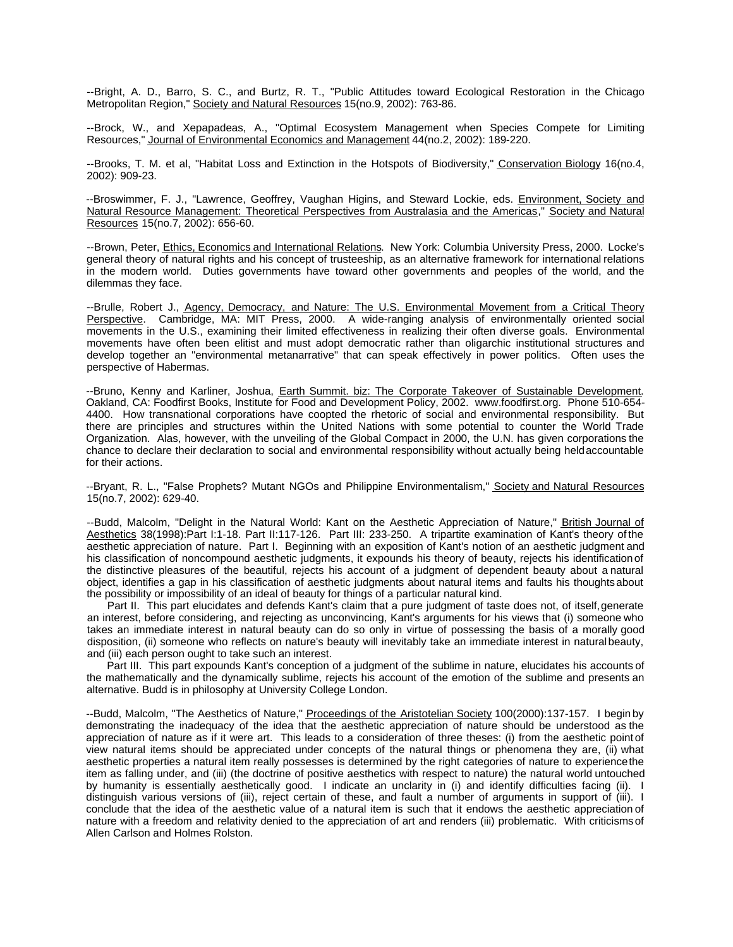--Bright, A. D., Barro, S. C., and Burtz, R. T., "Public Attitudes toward Ecological Restoration in the Chicago Metropolitan Region," Society and Natural Resources 15(no.9, 2002): 763-86.

--Brock, W., and Xepapadeas, A., "Optimal Ecosystem Management when Species Compete for Limiting Resources," Journal of Environmental Economics and Management 44(no.2, 2002): 189-220.

--Brooks, T. M. et al, "Habitat Loss and Extinction in the Hotspots of Biodiversity," Conservation Biology 16(no.4, 2002): 909-23.

--Broswimmer, F. J., "Lawrence, Geoffrey, Vaughan Higins, and Steward Lockie, eds. Environment, Society and Natural Resource Management: Theoretical Perspectives from Australasia and the Americas," Society and Natural Resources 15(no.7, 2002): 656-60.

--Brown, Peter, Ethics, Economics and International Relations. New York: Columbia University Press, 2000. Locke's general theory of natural rights and his concept of trusteeship, as an alternative framework for international relations in the modern world. Duties governments have toward other governments and peoples of the world, and the dilemmas they face.

--Brulle, Robert J., Agency, Democracy, and Nature: The U.S. Environmental Movement from a Critical Theory Perspective. Cambridge, MA: MIT Press, 2000. A wide-ranging analysis of environmentally oriented social movements in the U.S., examining their limited effectiveness in realizing their often diverse goals. Environmental movements have often been elitist and must adopt democratic rather than oligarchic institutional structures and develop together an "environmental metanarrative" that can speak effectively in power politics. Often uses the perspective of Habermas.

--Bruno, Kenny and Karliner, Joshua, Earth Summit. biz: The Corporate Takeover of Sustainable Development. Oakland, CA: Foodfirst Books, Institute for Food and Development Policy, 2002. www.foodfirst.org. Phone 510-654- 4400. How transnational corporations have coopted the rhetoric of social and environmental responsibility. But there are principles and structures within the United Nations with some potential to counter the World Trade Organization. Alas, however, with the unveiling of the Global Compact in 2000, the U.N. has given corporations the chance to declare their declaration to social and environmental responsibility without actually being held accountable for their actions.

--Bryant, R. L., "False Prophets? Mutant NGOs and Philippine Environmentalism," Society and Natural Resources 15(no.7, 2002): 629-40.

--Budd, Malcolm, "Delight in the Natural World: Kant on the Aesthetic Appreciation of Nature," British Journal of Aesthetics 38(1998):Part I:1-18. Part II:117-126. Part III: 233-250. A tripartite examination of Kant's theory of the aesthetic appreciation of nature. Part I. Beginning with an exposition of Kant's notion of an aesthetic judgment and his classification of noncompound aesthetic judgments, it expounds his theory of beauty, rejects his identification of the distinctive pleasures of the beautiful, rejects his account of a judgment of dependent beauty about a natural object, identifies a gap in his classification of aesthetic judgments about natural items and faults his thoughts about the possibility or impossibility of an ideal of beauty for things of a particular natural kind.

Part II. This part elucidates and defends Kant's claim that a pure judgment of taste does not, of itself, generate an interest, before considering, and rejecting as unconvincing, Kant's arguments for his views that (i) someone who takes an immediate interest in natural beauty can do so only in virtue of possessing the basis of a morally good disposition, (ii) someone who reflects on nature's beauty will inevitably take an immediate interest in natural beauty, and (iii) each person ought to take such an interest.

Part III. This part expounds Kant's conception of a judgment of the sublime in nature, elucidates his accounts of the mathematically and the dynamically sublime, rejects his account of the emotion of the sublime and presents an alternative. Budd is in philosophy at University College London.

--Budd, Malcolm, "The Aesthetics of Nature," Proceedings of the Aristotelian Society 100(2000):137-157. I begin by demonstrating the inadequacy of the idea that the aesthetic appreciation of nature should be understood as the appreciation of nature as if it were art. This leads to a consideration of three theses: (i) from the aesthetic point of view natural items should be appreciated under concepts of the natural things or phenomena they are, (ii) what aesthetic properties a natural item really possesses is determined by the right categories of nature to experience the item as falling under, and (iii) (the doctrine of positive aesthetics with respect to nature) the natural world untouched by humanity is essentially aesthetically good. I indicate an unclarity in (i) and identify difficulties facing (ii). I distinguish various versions of (iii), reject certain of these, and fault a number of arguments in support of (iii). I conclude that the idea of the aesthetic value of a natural item is such that it endows the aesthetic appreciation of nature with a freedom and relativity denied to the appreciation of art and renders (iii) problematic. With criticisms of Allen Carlson and Holmes Rolston.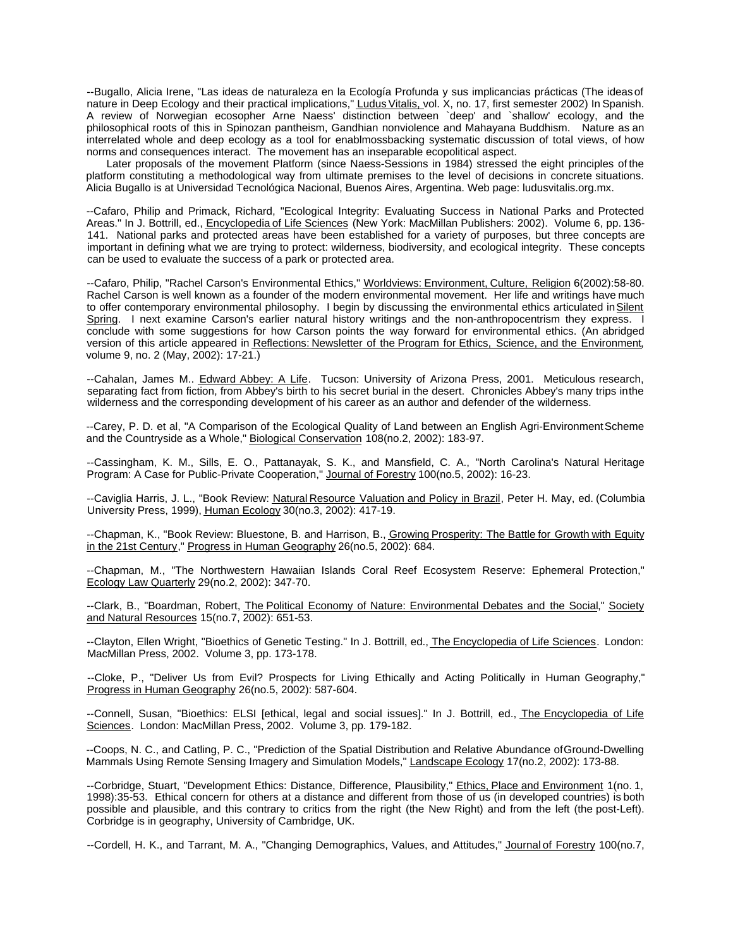--Bugallo, Alicia Irene, "Las ideas de naturaleza en la Ecología Profunda y sus implicancias prácticas (The ideas of nature in Deep Ecology and their practical implications," Ludus Vitalis, vol. X, no. 17, first semester 2002) In Spanish. A review of Norwegian ecosopher Arne Naess' distinction between `deep' and `shallow' ecology, and the philosophical roots of this in Spinozan pantheism, Gandhian nonviolence and Mahayana Buddhism. Nature as an interrelated whole and deep ecology as a tool for enablmossbacking systematic discussion of total views, of how norms and consequences interact. The movement has an inseparable ecopolitical aspect.

Later proposals of the movement Platform (since Naess-Sessions in 1984) stressed the eight principles of the platform constituting a methodological way from ultimate premises to the level of decisions in concrete situations. Alicia Bugallo is at Universidad Tecnológica Nacional, Buenos Aires, Argentina. Web page: ludusvitalis.org.mx.

--Cafaro, Philip and Primack, Richard, "Ecological Integrity: Evaluating Success in National Parks and Protected Areas." In J. Bottrill, ed., Encyclopedia of Life Sciences (New York: MacMillan Publishers: 2002). Volume 6, pp. 136- 141. National parks and protected areas have been established for a variety of purposes, but three concepts are important in defining what we are trying to protect: wilderness, biodiversity, and ecological integrity. These concepts can be used to evaluate the success of a park or protected area.

--Cafaro, Philip, "Rachel Carson's Environmental Ethics," Worldviews: Environment, Culture, Religion 6(2002):58-80. Rachel Carson is well known as a founder of the modern environmental movement. Her life and writings have much to offer contemporary environmental philosophy. I begin by discussing the environmental ethics articulated in Silent Spring. I next examine Carson's earlier natural history writings and the non-anthropocentrism they express. I conclude with some suggestions for how Carson points the way forward for environmental ethics. (An abridged version of this article appeared in Reflections: Newsletter of the Program for Ethics, Science, and the Environment, volume 9, no. 2 (May, 2002): 17-21.)

--Cahalan, James M.. Edward Abbey: A Life. Tucson: University of Arizona Press, 2001. Meticulous research, separating fact from fiction, from Abbey's birth to his secret burial in the desert. Chronicles Abbey's many trips in the wilderness and the corresponding development of his career as an author and defender of the wilderness.

--Carey, P. D. et al, "A Comparison of the Ecological Quality of Land between an English Agri-Environment Scheme and the Countryside as a Whole," Biological Conservation 108(no.2, 2002): 183-97.

--Cassingham, K. M., Sills, E. O., Pattanayak, S. K., and Mansfield, C. A., "North Carolina's Natural Heritage Program: A Case for Public-Private Cooperation," Journal of Forestry 100(no.5, 2002): 16-23.

--Caviglia Harris, J. L., "Book Review: Natural Resource Valuation and Policy in Brazil, Peter H. May, ed. (Columbia University Press, 1999), Human Ecology 30(no.3, 2002): 417-19.

--Chapman, K., "Book Review: Bluestone, B. and Harrison, B., Growing Prosperity: The Battle for Growth with Equity in the 21st Century," Progress in Human Geography 26(no.5, 2002): 684.

--Chapman, M., "The Northwestern Hawaiian Islands Coral Reef Ecosystem Reserve: Ephemeral Protection," Ecology Law Quarterly 29(no.2, 2002): 347-70.

--Clark, B., "Boardman, Robert, The Political Economy of Nature: Environmental Debates and the Social," Society and Natural Resources 15(no.7, 2002): 651-53.

--Clayton, Ellen Wright, "Bioethics of Genetic Testing." In J. Bottrill, ed., The Encyclopedia of Life Sciences. London: MacMillan Press, 2002. Volume 3, pp. 173-178.

--Cloke, P., "Deliver Us from Evil? Prospects for Living Ethically and Acting Politically in Human Geography," Progress in Human Geography 26(no.5, 2002): 587-604.

--Connell, Susan, "Bioethics: ELSI [ethical, legal and social issues]." In J. Bottrill, ed., The Encyclopedia of Life Sciences. London: MacMillan Press, 2002. Volume 3, pp. 179-182.

--Coops, N. C., and Catling, P. C., "Prediction of the Spatial Distribution and Relative Abundance of Ground-Dwelling Mammals Using Remote Sensing Imagery and Simulation Models," Landscape Ecology 17(no.2, 2002): 173-88.

--Corbridge, Stuart, "Development Ethics: Distance, Difference, Plausibility," Ethics, Place and Environment 1(no. 1, 1998):35-53. Ethical concern for others at a distance and different from those of us (in developed countries) is both possible and plausible, and this contrary to critics from the right (the New Right) and from the left (the post-Left). Corbridge is in geography, University of Cambridge, UK.

--Cordell, H. K., and Tarrant, M. A., "Changing Demographics, Values, and Attitudes," Journal of Forestry 100(no.7,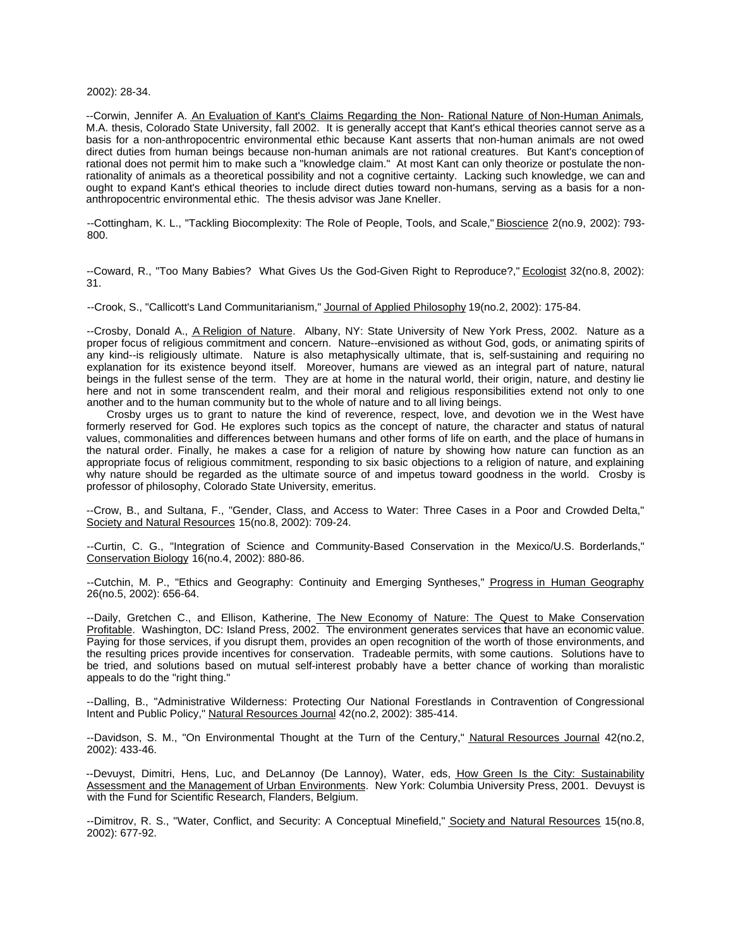#### 2002): 28-34.

--Corwin, Jennifer A. An Evaluation of Kant's Claims Regarding the Non- Rational Nature of Non-Human Animals, M.A. thesis, Colorado State University, fall 2002. It is generally accept that Kant's ethical theories cannot serve as a basis for a non-anthropocentric environmental ethic because Kant asserts that non-human animals are not owed direct duties from human beings because non-human animals are not rational creatures. But Kant's conception of rational does not permit him to make such a "knowledge claim." At most Kant can only theorize or postulate the nonrationality of animals as a theoretical possibility and not a cognitive certainty. Lacking such knowledge, we can and ought to expand Kant's ethical theories to include direct duties toward non-humans, serving as a basis for a nonanthropocentric environmental ethic. The thesis advisor was Jane Kneller.

--Cottingham, K. L., "Tackling Biocomplexity: The Role of People, Tools, and Scale," Bioscience 2(no.9, 2002): 793- 800.

--Coward, R., "Too Many Babies? What Gives Us the God-Given Right to Reproduce?," Ecologist 32(no.8, 2002): 31.

--Crook, S., "Callicott's Land Communitarianism," Journal of Applied Philosophy 19(no.2, 2002): 175-84.

--Crosby, Donald A., A Religion of Nature. Albany, NY: State University of New York Press, 2002. Nature as a proper focus of religious commitment and concern. Nature--envisioned as without God, gods, or animating spirits of any kind--is religiously ultimate. Nature is also metaphysically ultimate, that is, self-sustaining and requiring no explanation for its existence beyond itself. Moreover, humans are viewed as an integral part of nature, natural beings in the fullest sense of the term. They are at home in the natural world, their origin, nature, and destiny lie here and not in some transcendent realm, and their moral and religious responsibilities extend not only to one another and to the human community but to the whole of nature and to all living beings.

Crosby urges us to grant to nature the kind of reverence, respect, love, and devotion we in the West have formerly reserved for God. He explores such topics as the concept of nature, the character and status of natural values, commonalities and differences between humans and other forms of life on earth, and the place of humans in the natural order. Finally, he makes a case for a religion of nature by showing how nature can function as an appropriate focus of religious commitment, responding to six basic objections to a religion of nature, and explaining why nature should be regarded as the ultimate source of and impetus toward goodness in the world. Crosby is professor of philosophy, Colorado State University, emeritus.

--Crow, B., and Sultana, F., "Gender, Class, and Access to Water: Three Cases in a Poor and Crowded Delta," Society and Natural Resources 15(no.8, 2002): 709-24.

--Curtin, C. G., "Integration of Science and Community-Based Conservation in the Mexico/U.S. Borderlands," Conservation Biology 16(no.4, 2002): 880-86.

--Cutchin, M. P., "Ethics and Geography: Continuity and Emerging Syntheses," Progress in Human Geography 26(no.5, 2002): 656-64.

--Daily, Gretchen C., and Ellison, Katherine, The New Economy of Nature: The Quest to Make Conservation Profitable. Washington, DC: Island Press, 2002. The environment generates services that have an economic value. Paying for those services, if you disrupt them, provides an open recognition of the worth of those environments, and the resulting prices provide incentives for conservation. Tradeable permits, with some cautions. Solutions have to be tried, and solutions based on mutual self-interest probably have a better chance of working than moralistic appeals to do the "right thing."

--Dalling, B., "Administrative Wilderness: Protecting Our National Forestlands in Contravention of Congressional Intent and Public Policy," Natural Resources Journal 42(no.2, 2002): 385-414.

--Davidson, S. M., "On Environmental Thought at the Turn of the Century," Natural Resources Journal 42(no.2, 2002): 433-46.

--Devuyst, Dimitri, Hens, Luc, and DeLannoy (De Lannoy), Water, eds, How Green Is the City: Sustainability Assessment and the Management of Urban Environments. New York: Columbia University Press, 2001. Devuyst is with the Fund for Scientific Research, Flanders, Belgium.

--Dimitrov, R. S., "Water, Conflict, and Security: A Conceptual Minefield," Society and Natural Resources 15(no.8, 2002): 677-92.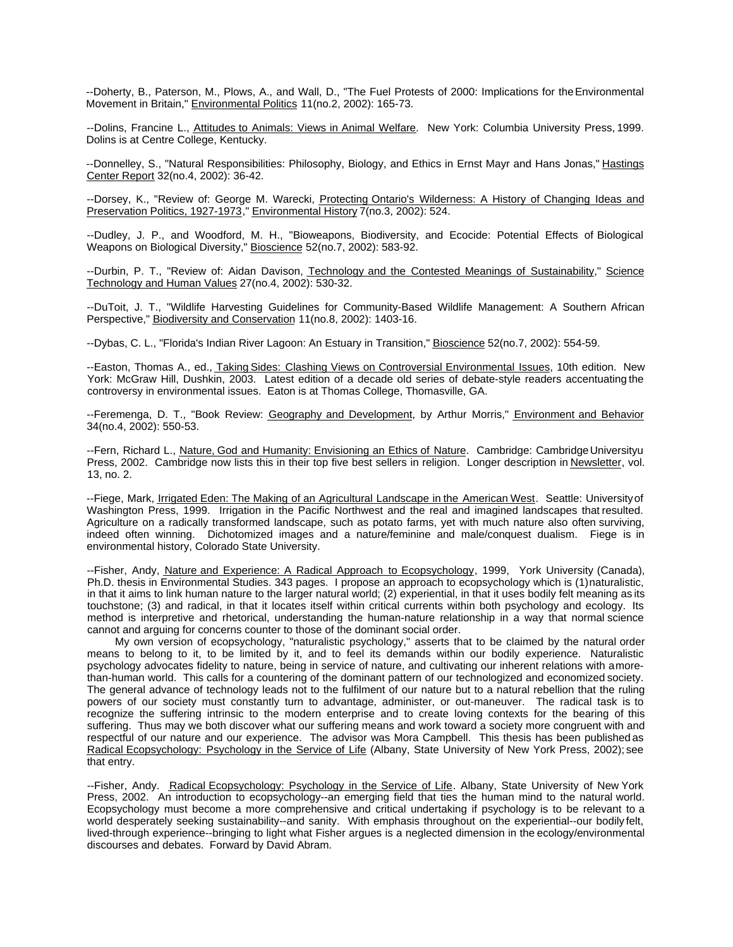--Doherty, B., Paterson, M., Plows, A., and Wall, D., "The Fuel Protests of 2000: Implications for the Environmental Movement in Britain," Environmental Politics 11(no.2, 2002): 165-73.

--Dolins, Francine L., Attitudes to Animals: Views in Animal Welfare. New York: Columbia University Press, 1999. Dolins is at Centre College, Kentucky.

--Donnelley, S., "Natural Responsibilities: Philosophy, Biology, and Ethics in Ernst Mayr and Hans Jonas," Hastings Center Report 32(no.4, 2002): 36-42.

--Dorsey, K., "Review of: George M. Warecki, Protecting Ontario's Wilderness: A History of Changing Ideas and Preservation Politics, 1927-1973," Environmental History 7(no.3, 2002): 524.

--Dudley, J. P., and Woodford, M. H., "Bioweapons, Biodiversity, and Ecocide: Potential Effects of Biological Weapons on Biological Diversity," Bioscience 52(no.7, 2002): 583-92.

--Durbin, P. T., "Review of: Aidan Davison, Technology and the Contested Meanings of Sustainability," Science Technology and Human Values 27(no.4, 2002): 530-32.

--DuToit, J. T., "Wildlife Harvesting Guidelines for Community-Based Wildlife Management: A Southern African Perspective," Biodiversity and Conservation 11(no.8, 2002): 1403-16.

--Dybas, C. L., "Florida's Indian River Lagoon: An Estuary in Transition," Bioscience 52(no.7, 2002): 554-59.

--Easton, Thomas A., ed., Taking Sides: Clashing Views on Controversial Environmental Issues, 10th edition. New York: McGraw Hill, Dushkin, 2003. Latest edition of a decade old series of debate-style readers accentuating the controversy in environmental issues. Eaton is at Thomas College, Thomasville, GA.

--Feremenga, D. T., "Book Review: Geography and Development, by Arthur Morris," Environment and Behavior 34(no.4, 2002): 550-53.

--Fern, Richard L., Nature, God and Humanity: Envisioning an Ethics of Nature. Cambridge: Cambridge Universityu Press, 2002. Cambridge now lists this in their top five best sellers in religion. Longer description in Newsletter, vol. 13, no. 2.

--Fiege, Mark, Irrigated Eden: The Making of an Agricultural Landscape in the American West. Seattle: University of Washington Press, 1999. Irrigation in the Pacific Northwest and the real and imagined landscapes that resulted. Agriculture on a radically transformed landscape, such as potato farms, yet with much nature also often surviving, indeed often winning. Dichotomized images and a nature/feminine and male/conquest dualism. Fiege is in environmental history, Colorado State University.

--Fisher, Andy, Nature and Experience: A Radical Approach to Ecopsychology, 1999, York University (Canada), Ph.D. thesis in Environmental Studies. 343 pages. I propose an approach to ecopsychology which is (1) naturalistic, in that it aims to link human nature to the larger natural world; (2) experiential, in that it uses bodily felt meaning as its touchstone; (3) and radical, in that it locates itself within critical currents within both psychology and ecology. Its method is interpretive and rhetorical, understanding the human-nature relationship in a way that normal science cannot and arguing for concerns counter to those of the dominant social order.

My own version of ecopsychology, "naturalistic psychology," asserts that to be claimed by the natural order means to belong to it, to be limited by it, and to feel its demands within our bodily experience. Naturalistic psychology advocates fidelity to nature, being in service of nature, and cultivating our inherent relations with a morethan-human world. This calls for a countering of the dominant pattern of our technologized and economized society. The general advance of technology leads not to the fulfilment of our nature but to a natural rebellion that the ruling powers of our society must constantly turn to advantage, administer, or out-maneuver. The radical task is to recognize the suffering intrinsic to the modern enterprise and to create loving contexts for the bearing of this suffering. Thus may we both discover what our suffering means and work toward a society more congruent with and respectful of our nature and our experience. The advisor was Mora Campbell. This thesis has been published as Radical Ecopsychology: Psychology in the Service of Life (Albany, State University of New York Press, 2002); see that entry.

--Fisher, Andy. Radical Ecopsychology: Psychology in the Service of Life. Albany, State University of New York Press, 2002. An introduction to ecopsychology--an emerging field that ties the human mind to the natural world. Ecopsychology must become a more comprehensive and critical undertaking if psychology is to be relevant to a world desperately seeking sustainability--and sanity. With emphasis throughout on the experiential--our bodily felt, lived-through experience--bringing to light what Fisher argues is a neglected dimension in the ecology/environmental discourses and debates. Forward by David Abram.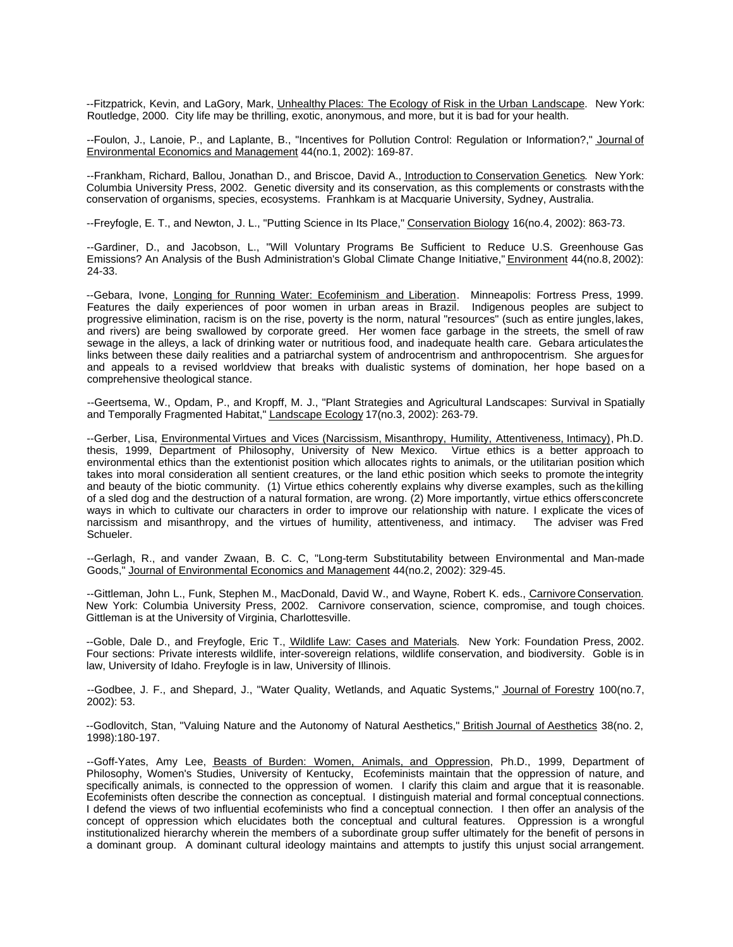--Fitzpatrick, Kevin, and LaGory, Mark, Unhealthy Places: The Ecology of Risk in the Urban Landscape. New York: Routledge, 2000. City life may be thrilling, exotic, anonymous, and more, but it is bad for your health.

--Foulon, J., Lanoie, P., and Laplante, B., "Incentives for Pollution Control: Regulation or Information?," Journal of Environmental Economics and Management 44(no.1, 2002): 169-87.

--Frankham, Richard, Ballou, Jonathan D., and Briscoe, David A., Introduction to Conservation Genetics. New York: Columbia University Press, 2002. Genetic diversity and its conservation, as this complements or constrasts with the conservation of organisms, species, ecosystems. Franhkam is at Macquarie University, Sydney, Australia.

--Freyfogle, E. T., and Newton, J. L., "Putting Science in Its Place," Conservation Biology 16(no.4, 2002): 863-73.

--Gardiner, D., and Jacobson, L., "Will Voluntary Programs Be Sufficient to Reduce U.S. Greenhouse Gas Emissions? An Analysis of the Bush Administration's Global Climate Change Initiative," Environment 44(no.8, 2002): 24-33.

--Gebara, Ivone, Longing for Running Water: Ecofeminism and Liberation. Minneapolis: Fortress Press, 1999. Features the daily experiences of poor women in urban areas in Brazil. Indigenous peoples are subject to progressive elimination, racism is on the rise, poverty is the norm, natural "resources" (such as entire jungles, lakes, and rivers) are being swallowed by corporate greed. Her women face garbage in the streets, the smell of raw sewage in the alleys, a lack of drinking water or nutritious food, and inadequate health care. Gebara articulates the links between these daily realities and a patriarchal system of androcentrism and anthropocentrism. She argues for and appeals to a revised worldview that breaks with dualistic systems of domination, her hope based on a comprehensive theological stance.

--Geertsema, W., Opdam, P., and Kropff, M. J., "Plant Strategies and Agricultural Landscapes: Survival in Spatially and Temporally Fragmented Habitat," Landscape Ecology 17(no.3, 2002): 263-79.

--Gerber, Lisa, Environmental Virtues and Vices (Narcissism, Misanthropy, Humility, Attentiveness, Intimacy), Ph.D. thesis, 1999, Department of Philosophy, University of New Mexico. Virtue ethics is a better approach to environmental ethics than the extentionist position which allocates rights to animals, or the utilitarian position which takes into moral consideration all sentient creatures, or the land ethic position which seeks to promote the integrity and beauty of the biotic community. (1) Virtue ethics coherently explains why diverse examples, such as the killing of a sled dog and the destruction of a natural formation, are wrong. (2) More importantly, virtue ethics offers concrete ways in which to cultivate our characters in order to improve our relationship with nature. I explicate the vices of narcissism and misanthropy, and the virtues of humility, attentiveness, and intimacy. The adviser was Fred Schueler.

--Gerlagh, R., and vander Zwaan, B. C. C, "Long-term Substitutability between Environmental and Man-made Goods," Journal of Environmental Economics and Management 44(no.2, 2002): 329-45.

--Gittleman, John L., Funk, Stephen M., MacDonald, David W., and Wayne, Robert K. eds., Carnivore Conservation. New York: Columbia University Press, 2002. Carnivore conservation, science, compromise, and tough choices. Gittleman is at the University of Virginia, Charlottesville.

--Goble, Dale D., and Freyfogle, Eric T., Wildlife Law: Cases and Materials. New York: Foundation Press, 2002. Four sections: Private interests wildlife, inter-sovereign relations, wildlife conservation, and biodiversity. Goble is in law, University of Idaho. Freyfogle is in law, University of Illinois.

--Godbee, J. F., and Shepard, J., "Water Quality, Wetlands, and Aquatic Systems," Journal of Forestry 100(no.7, 2002): 53.

--Godlovitch, Stan, "Valuing Nature and the Autonomy of Natural Aesthetics," British Journal of Aesthetics 38(no. 2, 1998):180-197.

--Goff-Yates, Amy Lee, Beasts of Burden: Women, Animals, and Oppression, Ph.D., 1999, Department of Philosophy, Women's Studies, University of Kentucky, Ecofeminists maintain that the oppression of nature, and specifically animals, is connected to the oppression of women. I clarify this claim and argue that it is reasonable. Ecofeminists often describe the connection as conceptual. I distinguish material and formal conceptual connections. I defend the views of two influential ecofeminists who find a conceptual connection. I then offer an analysis of the concept of oppression which elucidates both the conceptual and cultural features. Oppression is a wrongful institutionalized hierarchy wherein the members of a subordinate group suffer ultimately for the benefit of persons in a dominant group. A dominant cultural ideology maintains and attempts to justify this unjust social arrangement.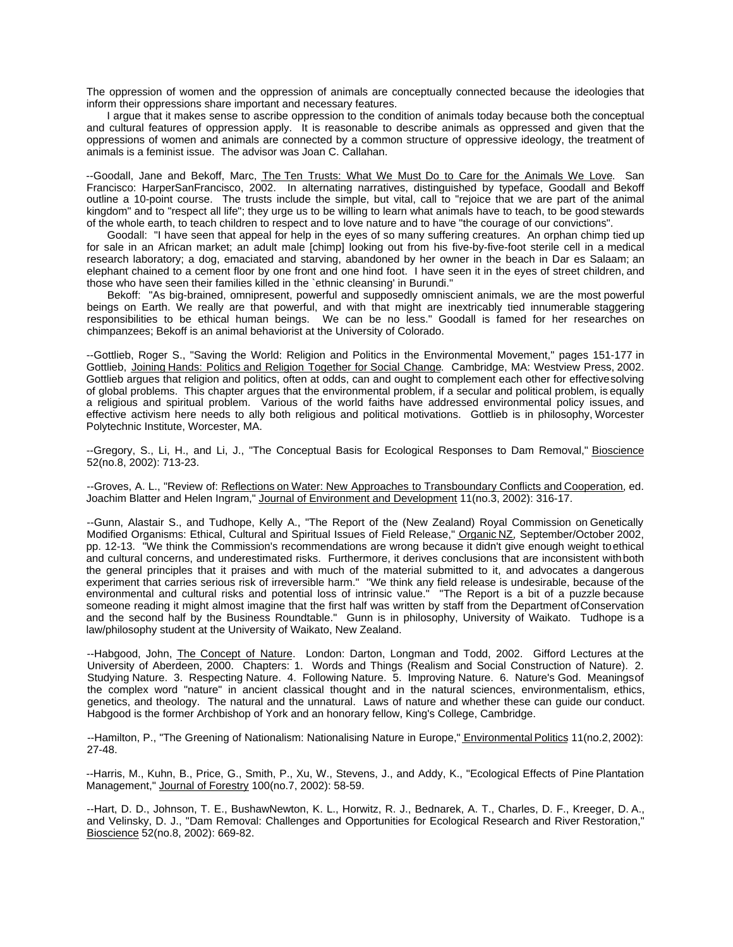The oppression of women and the oppression of animals are conceptually connected because the ideologies that inform their oppressions share important and necessary features.

I argue that it makes sense to ascribe oppression to the condition of animals today because both the conceptual and cultural features of oppression apply. It is reasonable to describe animals as oppressed and given that the oppressions of women and animals are connected by a common structure of oppressive ideology, the treatment of animals is a feminist issue. The advisor was Joan C. Callahan.

--Goodall, Jane and Bekoff, Marc, The Ten Trusts: What We Must Do to Care for the Animals We Love. San Francisco: HarperSanFrancisco, 2002. In alternating narratives, distinguished by typeface, Goodall and Bekoff outline a 10-point course. The trusts include the simple, but vital, call to "rejoice that we are part of the animal kingdom" and to "respect all life"; they urge us to be willing to learn what animals have to teach, to be good stewards of the whole earth, to teach children to respect and to love nature and to have "the courage of our convictions".

Goodall: "I have seen that appeal for help in the eyes of so many suffering creatures. An orphan chimp tied up for sale in an African market; an adult male [chimp] looking out from his five-by-five-foot sterile cell in a medical research laboratory; a dog, emaciated and starving, abandoned by her owner in the beach in Dar es Salaam; an elephant chained to a cement floor by one front and one hind foot. I have seen it in the eyes of street children, and those who have seen their families killed in the `ethnic cleansing' in Burundi."

Bekoff: "As big-brained, omnipresent, powerful and supposedly omniscient animals, we are the most powerful beings on Earth. We really are that powerful, and with that might are inextricably tied innumerable staggering responsibilities to be ethical human beings. We can be no less." Goodall is famed for her researches on chimpanzees; Bekoff is an animal behaviorist at the University of Colorado.

--Gottlieb, Roger S., "Saving the World: Religion and Politics in the Environmental Movement," pages 151-177 in Gottlieb, Joining Hands: Politics and Religion Together for Social Change. Cambridge, MA: Westview Press, 2002. Gottlieb argues that religion and politics, often at odds, can and ought to complement each other for effective solving of global problems. This chapter argues that the environmental problem, if a secular and political problem, is equally a religious and spiritual problem. Various of the world faiths have addressed environmental policy issues, and effective activism here needs to ally both religious and political motivations. Gottlieb is in philosophy, Worcester Polytechnic Institute, Worcester, MA.

--Gregory, S., Li, H., and Li, J., "The Conceptual Basis for Ecological Responses to Dam Removal," Bioscience 52(no.8, 2002): 713-23.

--Groves, A. L., "Review of: Reflections on Water: New Approaches to Transboundary Conflicts and Cooperation, ed. Joachim Blatter and Helen Ingram," Journal of Environment and Development 11(no.3, 2002): 316-17.

--Gunn, Alastair S., and Tudhope, Kelly A., "The Report of the (New Zealand) Royal Commission on Genetically Modified Organisms: Ethical, Cultural and Spiritual Issues of Field Release," Organic NZ, September/October 2002, pp. 12-13. "We think the Commission's recommendations are wrong because it didn't give enough weight to ethical and cultural concerns, and underestimated risks. Furthermore, it derives conclusions that are inconsistent with both the general principles that it praises and with much of the material submitted to it, and advocates a dangerous experiment that carries serious risk of irreversible harm." "We think any field release is undesirable, because of the environmental and cultural risks and potential loss of intrinsic value." "The Report is a bit of a puzzle because someone reading it might almost imagine that the first half was written by staff from the Department of Conservation and the second half by the Business Roundtable." Gunn is in philosophy, University of Waikato. Tudhope is a law/philosophy student at the University of Waikato, New Zealand.

--Habgood, John, The Concept of Nature. London: Darton, Longman and Todd, 2002. Gifford Lectures at the University of Aberdeen, 2000. Chapters: 1. Words and Things (Realism and Social Construction of Nature). 2. Studying Nature. 3. Respecting Nature. 4. Following Nature. 5. Improving Nature. 6. Nature's God. Meanings of the complex word "nature" in ancient classical thought and in the natural sciences, environmentalism, ethics, genetics, and theology. The natural and the unnatural. Laws of nature and whether these can guide our conduct. Habgood is the former Archbishop of York and an honorary fellow, King's College, Cambridge.

--Hamilton, P., "The Greening of Nationalism: Nationalising Nature in Europe," Environmental Politics 11(no.2, 2002): 27-48.

--Harris, M., Kuhn, B., Price, G., Smith, P., Xu, W., Stevens, J., and Addy, K., "Ecological Effects of Pine Plantation Management," Journal of Forestry 100(no.7, 2002): 58-59.

--Hart, D. D., Johnson, T. E., BushawNewton, K. L., Horwitz, R. J., Bednarek, A. T., Charles, D. F., Kreeger, D. A., and Velinsky, D. J., "Dam Removal: Challenges and Opportunities for Ecological Research and River Restoration," Bioscience 52(no.8, 2002): 669-82.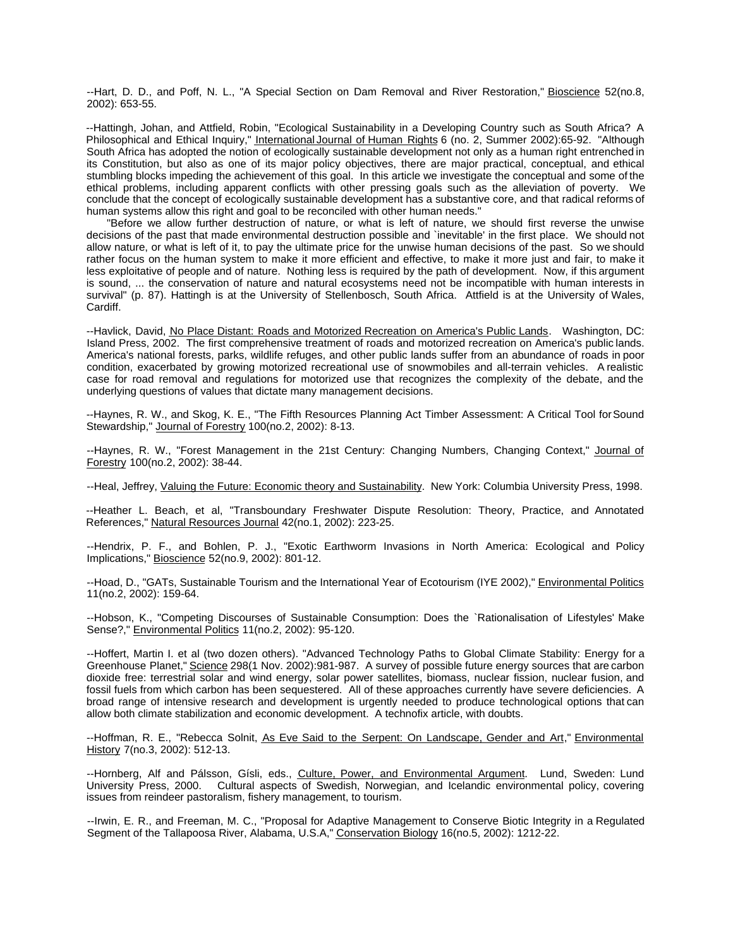--Hart, D. D., and Poff, N. L., "A Special Section on Dam Removal and River Restoration," Bioscience 52(no.8, 2002): 653-55.

--Hattingh, Johan, and Attfield, Robin, "Ecological Sustainability in a Developing Country such as South Africa? A Philosophical and Ethical Inquiry," International Journal of Human Rights 6 (no. 2, Summer 2002):65-92. "Although South Africa has adopted the notion of ecologically sustainable development not only as a human right entrenched in its Constitution, but also as one of its major policy objectives, there are major practical, conceptual, and ethical stumbling blocks impeding the achievement of this goal. In this article we investigate the conceptual and some of the ethical problems, including apparent conflicts with other pressing goals such as the alleviation of poverty. We conclude that the concept of ecologically sustainable development has a substantive core, and that radical reforms of human systems allow this right and goal to be reconciled with other human needs."

"Before we allow further destruction of nature, or what is left of nature, we should first reverse the unwise decisions of the past that made environmental destruction possible and `inevitable' in the first place. We should not allow nature, or what is left of it, to pay the ultimate price for the unwise human decisions of the past. So we should rather focus on the human system to make it more efficient and effective, to make it more just and fair, to make it less exploitative of people and of nature. Nothing less is required by the path of development. Now, if this argument is sound, ... the conservation of nature and natural ecosystems need not be incompatible with human interests in survival" (p. 87). Hattingh is at the University of Stellenbosch, South Africa. Attfield is at the University of Wales, Cardiff.

--Havlick, David, No Place Distant: Roads and Motorized Recreation on America's Public Lands. Washington, DC: Island Press, 2002. The first comprehensive treatment of roads and motorized recreation on America's public lands. America's national forests, parks, wildlife refuges, and other public lands suffer from an abundance of roads in poor condition, exacerbated by growing motorized recreational use of snowmobiles and all-terrain vehicles. A realistic case for road removal and regulations for motorized use that recognizes the complexity of the debate, and the underlying questions of values that dictate many management decisions.

--Haynes, R. W., and Skog, K. E., "The Fifth Resources Planning Act Timber Assessment: A Critical Tool for Sound Stewardship," Journal of Forestry 100(no.2, 2002): 8-13.

--Haynes, R. W., "Forest Management in the 21st Century: Changing Numbers, Changing Context," Journal of Forestry 100(no.2, 2002): 38-44.

--Heal, Jeffrey, Valuing the Future: Economic theory and Sustainability. New York: Columbia University Press, 1998.

--Heather L. Beach, et al, "Transboundary Freshwater Dispute Resolution: Theory, Practice, and Annotated References," Natural Resources Journal 42(no.1, 2002): 223-25.

--Hendrix, P. F., and Bohlen, P. J., "Exotic Earthworm Invasions in North America: Ecological and Policy Implications," Bioscience 52(no.9, 2002): 801-12.

--Hoad, D., "GATs, Sustainable Tourism and the International Year of Ecotourism (IYE 2002)," Environmental Politics 11(no.2, 2002): 159-64.

--Hobson, K., "Competing Discourses of Sustainable Consumption: Does the `Rationalisation of Lifestyles' Make Sense?," Environmental Politics 11(no.2, 2002): 95-120.

--Hoffert, Martin I. et al (two dozen others). "Advanced Technology Paths to Global Climate Stability: Energy for a Greenhouse Planet," Science 298(1 Nov. 2002):981-987. A survey of possible future energy sources that are carbon dioxide free: terrestrial solar and wind energy, solar power satellites, biomass, nuclear fission, nuclear fusion, and fossil fuels from which carbon has been sequestered. All of these approaches currently have severe deficiencies. A broad range of intensive research and development is urgently needed to produce technological options that can allow both climate stabilization and economic development. A technofix article, with doubts.

--Hoffman, R. E., "Rebecca Solnit, As Eve Said to the Serpent: On Landscape, Gender and Art," Environmental History 7(no.3, 2002): 512-13.

--Hornberg, Alf and Pálsson, Gísli, eds., Culture, Power, and Environmental Argument. Lund, Sweden: Lund University Press, 2000. Cultural aspects of Swedish, Norwegian, and Icelandic environmental policy, covering issues from reindeer pastoralism, fishery management, to tourism.

--Irwin, E. R., and Freeman, M. C., "Proposal for Adaptive Management to Conserve Biotic Integrity in a Regulated Segment of the Tallapoosa River, Alabama, U.S.A," Conservation Biology 16(no.5, 2002): 1212-22.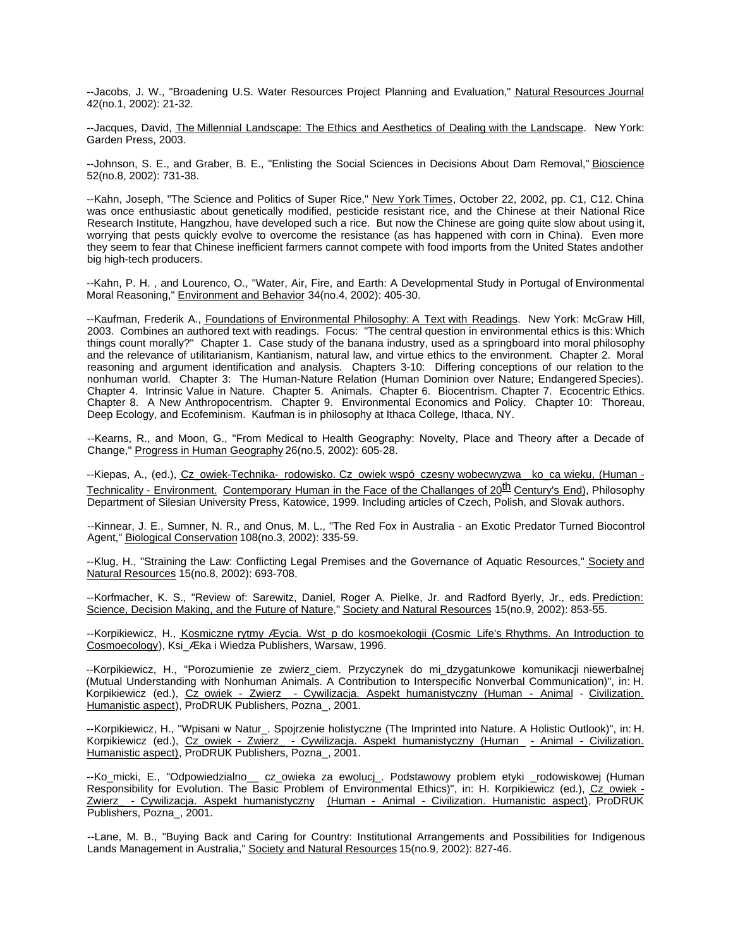--Jacobs, J. W., "Broadening U.S. Water Resources Project Planning and Evaluation," Natural Resources Journal 42(no.1, 2002): 21-32.

--Jacques, David, The Millennial Landscape: The Ethics and Aesthetics of Dealing with the Landscape. New York: Garden Press, 2003.

--Johnson, S. E., and Graber, B. E., "Enlisting the Social Sciences in Decisions About Dam Removal," Bioscience 52(no.8, 2002): 731-38.

--Kahn, Joseph, "The Science and Politics of Super Rice," New York Times, October 22, 2002, pp. C1, C12. China was once enthusiastic about genetically modified, pesticide resistant rice, and the Chinese at their National Rice Research Institute, Hangzhou, have developed such a rice. But now the Chinese are going quite slow about using it, worrying that pests quickly evolve to overcome the resistance (as has happened with corn in China). Even more they seem to fear that Chinese inefficient farmers cannot compete with food imports from the United States and other big high-tech producers.

--Kahn, P. H. , and Lourenco, O., "Water, Air, Fire, and Earth: A Developmental Study in Portugal of Environmental Moral Reasoning," Environment and Behavior 34(no.4, 2002): 405-30.

--Kaufman, Frederik A., Foundations of Environmental Philosophy: A Text with Readings. New York: McGraw Hill, 2003. Combines an authored text with readings. Focus: "The central question in environmental ethics is this: Which things count morally?" Chapter 1. Case study of the banana industry, used as a springboard into moral philosophy and the relevance of utilitarianism, Kantianism, natural law, and virtue ethics to the environment. Chapter 2. Moral reasoning and argument identification and analysis. Chapters 3-10: Differing conceptions of our relation to the nonhuman world. Chapter 3: The Human-Nature Relation (Human Dominion over Nature; Endangered Species). Chapter 4. Intrinsic Value in Nature. Chapter 5. Animals. Chapter 6. Biocentrism. Chapter 7. Ecocentric Ethics. Chapter 8. A New Anthropocentrism. Chapter 9. Environmental Economics and Policy. Chapter 10: Thoreau, Deep Ecology, and Ecofeminism. Kaufman is in philosophy at Ithaca College, Ithaca, NY.

--Kearns, R., and Moon, G., "From Medical to Health Geography: Novelty, Place and Theory after a Decade of Change," Progress in Human Geography 26(no.5, 2002): 605-28.

--Kiepas, A., (ed.), Cz\_owiek-Technika-\_rodowisko. Cz\_owiek wspó\_czesny wobecwyzwa\_ ko\_ca wieku, (Human -Technicality - Environment. Contemporary Human in the Face of the Challanges of 20<sup>th</sup> Century's End), Philosophy Department of Silesian University Press, Katowice, 1999. Including articles of Czech, Polish, and Slovak authors.

--Kinnear, J. E., Sumner, N. R., and Onus, M. L., "The Red Fox in Australia - an Exotic Predator Turned Biocontrol Agent," Biological Conservation 108(no.3, 2002): 335-59.

--Klug, H., "Straining the Law: Conflicting Legal Premises and the Governance of Aquatic Resources," Society and Natural Resources 15(no.8, 2002): 693-708.

--Korfmacher, K. S., "Review of: Sarewitz, Daniel, Roger A. Pielke, Jr. and Radford Byerly, Jr., eds. Prediction: Science, Decision Making, and the Future of Nature," Society and Natural Resources 15(no.9, 2002): 853-55.

--Korpikiewicz, H., Kosmiczne rytmy Æycia. Wst\_p do kosmoekologii (Cosmic Life's Rhythms. An Introduction to Cosmoecology), Ksi\_Æka i Wiedza Publishers, Warsaw, 1996.

--Korpikiewicz, H., "Porozumienie ze zwierz\_ciem. Przyczynek do mi\_dzygatunkowe komunikacji niewerbalnej (Mutual Understanding with Nonhuman Animals. A Contribution to Interspecific Nonverbal Communication)", in: H. Korpikiewicz (ed.), Cz\_owiek - Zwierz\_ - Cywilizacja. Aspekt humanistyczny (Human - Animal - Civilization. Humanistic aspect), ProDRUK Publishers, Pozna\_, 2001.

--Korpikiewicz, H., "Wpisani w Natur\_. Spojrzenie holistyczne (The Imprinted into Nature. A Holistic Outlook)", in: H. Korpikiewicz (ed.), Cz\_owiek - Zwierz\_ - Cywilizacja. Aspekt humanistyczny (Human - Animal - Civilization. Humanistic aspect), ProDRUK Publishers, Pozna\_, 2001.

--Ko\_micki, E., "Odpowiedzialno\_\_ cz\_owieka za ewolucj\_. Podstawowy problem etyki \_rodowiskowej (Human Responsibility for Evolution. The Basic Problem of Environmental Ethics)", in: H. Korpikiewicz (ed.), Cz\_owiek -Zwierz\_ - Cywilizacja. Aspekt humanistyczny (Human - Animal - Civilization. Humanistic aspect), ProDRUK Publishers, Pozna\_, 2001.

--Lane, M. B., "Buying Back and Caring for Country: Institutional Arrangements and Possibilities for Indigenous Lands Management in Australia," Society and Natural Resources 15(no.9, 2002): 827-46.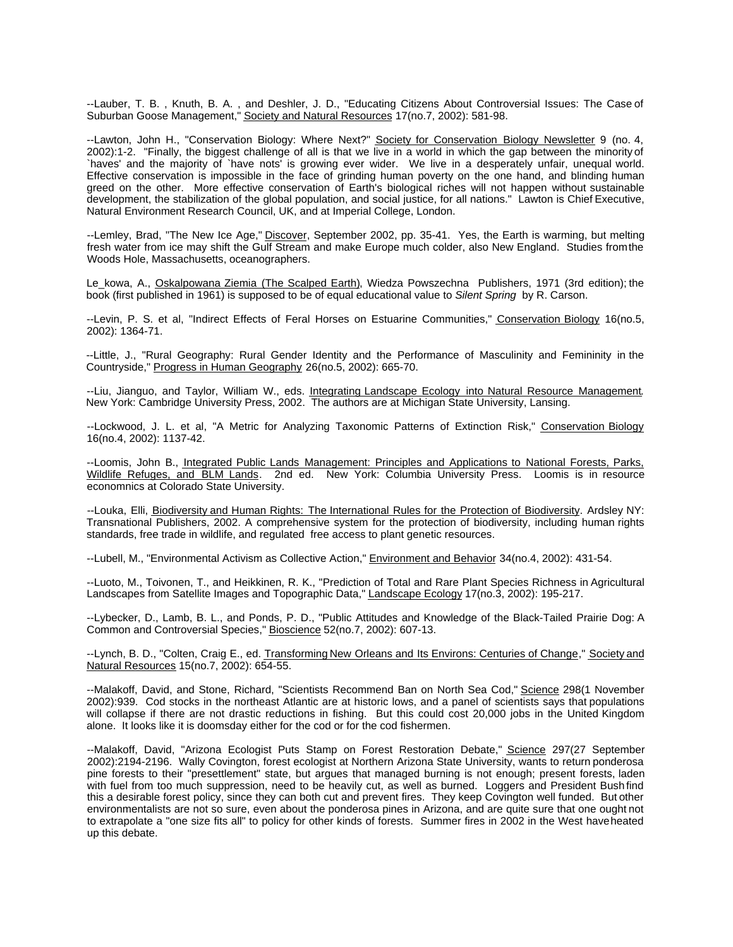--Lauber, T. B. , Knuth, B. A. , and Deshler, J. D., "Educating Citizens About Controversial Issues: The Case of Suburban Goose Management," Society and Natural Resources 17(no.7, 2002): 581-98.

--Lawton, John H., "Conservation Biology: Where Next?" Society for Conservation Biology Newsletter 9 (no. 4, 2002):1-2. "Finally, the biggest challenge of all is that we live in a world in which the gap between the minority of `haves' and the majority of `have nots' is growing ever wider. We live in a desperately unfair, unequal world. Effective conservation is impossible in the face of grinding human poverty on the one hand, and blinding human greed on the other. More effective conservation of Earth's biological riches will not happen without sustainable development, the stabilization of the global population, and social justice, for all nations." Lawton is Chief Executive, Natural Environment Research Council, UK, and at Imperial College, London.

--Lemley, Brad, "The New Ice Age," Discover, September 2002, pp. 35-41. Yes, the Earth is warming, but melting fresh water from ice may shift the Gulf Stream and make Europe much colder, also New England. Studies from the Woods Hole, Massachusetts, oceanographers.

Le\_kowa, A., Oskalpowana Ziemia (The Scalped Earth), Wiedza Powszechna Publishers, 1971 (3rd edition); the book (first published in 1961) is supposed to be of equal educational value to *Silent Spring* by R. Carson.

--Levin, P. S. et al, "Indirect Effects of Feral Horses on Estuarine Communities," Conservation Biology 16(no.5, 2002): 1364-71.

--Little, J., "Rural Geography: Rural Gender Identity and the Performance of Masculinity and Femininity in the Countryside," Progress in Human Geography 26(no.5, 2002): 665-70.

--Liu, Jianguo, and Taylor, William W., eds. Integrating Landscape Ecology into Natural Resource Management. New York: Cambridge University Press, 2002. The authors are at Michigan State University, Lansing.

--Lockwood, J. L. et al, "A Metric for Analyzing Taxonomic Patterns of Extinction Risk," Conservation Biology 16(no.4, 2002): 1137-42.

--Loomis, John B., Integrated Public Lands Management: Principles and Applications to National Forests, Parks, Wildlife Refuges, and BLM Lands. 2nd ed. New York: Columbia University Press. Loomis is in resource economnics at Colorado State University.

--Louka, Elli, Biodiversity and Human Rights: The International Rules for the Protection of Biodiversity. Ardsley NY: Transnational Publishers, 2002. A comprehensive system for the protection of biodiversity, including human rights standards, free trade in wildlife, and regulated free access to plant genetic resources.

--Lubell, M., "Environmental Activism as Collective Action," Environment and Behavior 34(no.4, 2002): 431-54.

--Luoto, M., Toivonen, T., and Heikkinen, R. K., "Prediction of Total and Rare Plant Species Richness in Agricultural Landscapes from Satellite Images and Topographic Data," Landscape Ecology 17(no.3, 2002): 195-217.

--Lybecker, D., Lamb, B. L., and Ponds, P. D., "Public Attitudes and Knowledge of the Black-Tailed Prairie Dog: A Common and Controversial Species," Bioscience 52(no.7, 2002): 607-13.

--Lynch, B. D., "Colten, Craig E., ed. Transforming New Orleans and Its Environs: Centuries of Change," Society and Natural Resources 15(no.7, 2002): 654-55.

--Malakoff, David, and Stone, Richard, "Scientists Recommend Ban on North Sea Cod," Science 298(1 November 2002):939. Cod stocks in the northeast Atlantic are at historic lows, and a panel of scientists says that populations will collapse if there are not drastic reductions in fishing. But this could cost 20,000 jobs in the United Kingdom alone. It looks like it is doomsday either for the cod or for the cod fishermen.

--Malakoff, David, "Arizona Ecologist Puts Stamp on Forest Restoration Debate," Science 297(27 September 2002):2194-2196. Wally Covington, forest ecologist at Northern Arizona State University, wants to return ponderosa pine forests to their "presettlement" state, but argues that managed burning is not enough; present forests, laden with fuel from too much suppression, need to be heavily cut, as well as burned. Loggers and President Bush find this a desirable forest policy, since they can both cut and prevent fires. They keep Covington well funded. But other environmentalists are not so sure, even about the ponderosa pines in Arizona, and are quite sure that one ought not to extrapolate a "one size fits all" to policy for other kinds of forests. Summer fires in 2002 in the West have heated up this debate.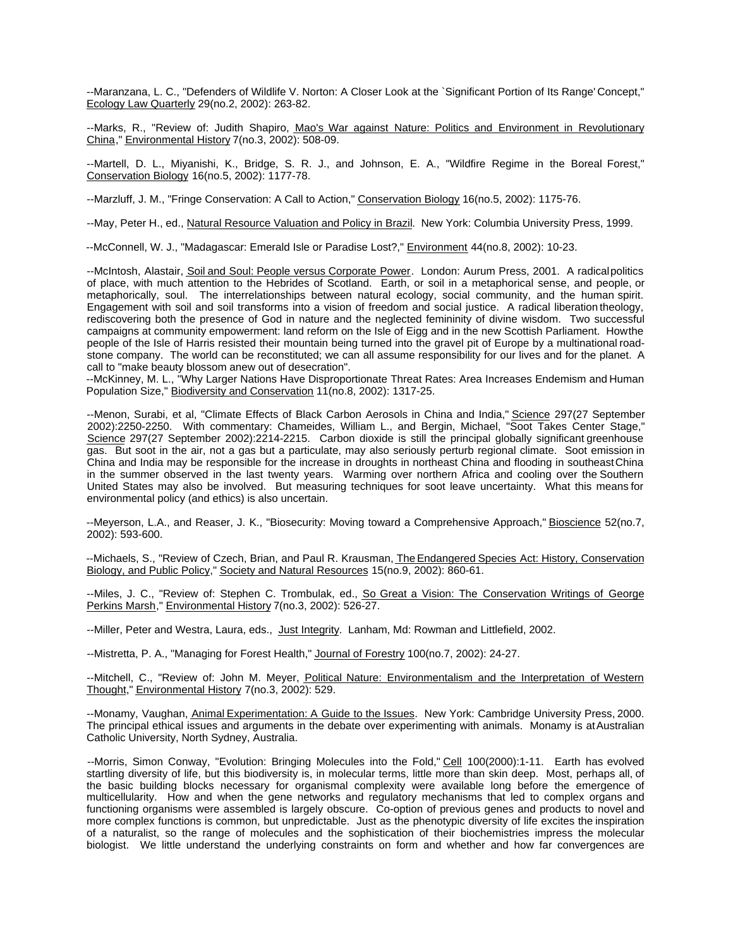--Maranzana, L. C., "Defenders of Wildlife V. Norton: A Closer Look at the `Significant Portion of Its Range' Concept," Ecology Law Quarterly 29(no.2, 2002): 263-82.

--Marks, R., "Review of: Judith Shapiro, Mao's War against Nature: Politics and Environment in Revolutionary China," Environmental History 7(no.3, 2002): 508-09.

--Martell, D. L., Miyanishi, K., Bridge, S. R. J., and Johnson, E. A., "Wildfire Regime in the Boreal Forest," Conservation Biology 16(no.5, 2002): 1177-78.

--Marzluff, J. M., "Fringe Conservation: A Call to Action," Conservation Biology 16(no.5, 2002): 1175-76.

--May, Peter H., ed., Natural Resource Valuation and Policy in Brazil. New York: Columbia University Press, 1999.

--McConnell, W. J., "Madagascar: Emerald Isle or Paradise Lost?," Environment 44(no.8, 2002): 10-23.

--McIntosh, Alastair, Soil and Soul: People versus Corporate Power. London: Aurum Press, 2001. A radical politics of place, with much attention to the Hebrides of Scotland. Earth, or soil in a metaphorical sense, and people, or metaphorically, soul. The interrelationships between natural ecology, social community, and the human spirit. Engagement with soil and soil transforms into a vision of freedom and social justice. A radical liberation theology, rediscovering both the presence of God in nature and the neglected femininity of divine wisdom. Two successful campaigns at community empowerment: land reform on the Isle of Eigg and in the new Scottish Parliament. How the people of the Isle of Harris resisted their mountain being turned into the gravel pit of Europe by a multinational roadstone company. The world can be reconstituted; we can all assume responsibility for our lives and for the planet. A call to "make beauty blossom anew out of desecration".

--McKinney, M. L., "Why Larger Nations Have Disproportionate Threat Rates: Area Increases Endemism and Human Population Size," Biodiversity and Conservation 11(no.8, 2002): 1317-25.

--Menon, Surabi, et al, "Climate Effects of Black Carbon Aerosols in China and India," Science 297(27 September 2002):2250-2250. With commentary: Chameides, William L., and Bergin, Michael, "Soot Takes Center Stage," Science 297(27 September 2002):2214-2215. Carbon dioxide is still the principal globally significant greenhouse gas. But soot in the air, not a gas but a particulate, may also seriously perturb regional climate. Soot emission in China and India may be responsible for the increase in droughts in northeast China and flooding in southeast China in the summer observed in the last twenty years. Warming over northern Africa and cooling over the Southern United States may also be involved. But measuring techniques for soot leave uncertainty. What this means for environmental policy (and ethics) is also uncertain.

--Meyerson, L.A., and Reaser, J. K., "Biosecurity: Moving toward a Comprehensive Approach," Bioscience 52(no.7, 2002): 593-600.

--Michaels, S., "Review of Czech, Brian, and Paul R. Krausman, The Endangered Species Act: History, Conservation Biology, and Public Policy," Society and Natural Resources 15(no.9, 2002): 860-61.

--Miles, J. C., "Review of: Stephen C. Trombulak, ed., <u>So Great a Vision: The Conservation Writings of George</u> Perkins Marsh," Environmental History 7(no.3, 2002): 526-27.

--Miller, Peter and Westra, Laura, eds., Just Integrity. Lanham, Md: Rowman and Littlefield, 2002.

--Mistretta, P. A., "Managing for Forest Health," Journal of Forestry 100(no.7, 2002): 24-27.

--Mitchell, C., "Review of: John M. Meyer, Political Nature: Environmentalism and the Interpretation of Western Thought," Environmental History 7(no.3, 2002): 529.

--Monamy, Vaughan, Animal Experimentation: A Guide to the Issues. New York: Cambridge University Press, 2000. The principal ethical issues and arguments in the debate over experimenting with animals. Monamy is at Australian Catholic University, North Sydney, Australia.

--Morris, Simon Conway, "Evolution: Bringing Molecules into the Fold," Cell 100(2000):1-11. Earth has evolved startling diversity of life, but this biodiversity is, in molecular terms, little more than skin deep. Most, perhaps all, of the basic building blocks necessary for organismal complexity were available long before the emergence of multicellularity. How and when the gene networks and regulatory mechanisms that led to complex organs and functioning organisms were assembled is largely obscure. Co-option of previous genes and products to novel and more complex functions is common, but unpredictable. Just as the phenotypic diversity of life excites the inspiration of a naturalist, so the range of molecules and the sophistication of their biochemistries impress the molecular biologist. We little understand the underlying constraints on form and whether and how far convergences are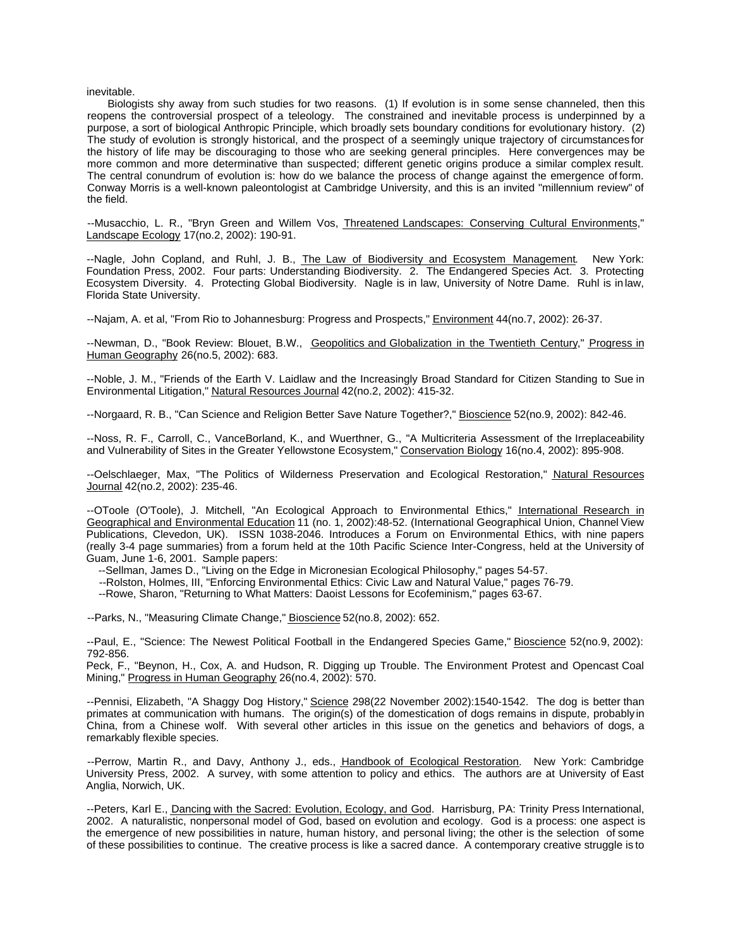inevitable.

Biologists shy away from such studies for two reasons. (1) If evolution is in some sense channeled, then this reopens the controversial prospect of a teleology. The constrained and inevitable process is underpinned by a purpose, a sort of biological Anthropic Principle, which broadly sets boundary conditions for evolutionary history. (2) The study of evolution is strongly historical, and the prospect of a seemingly unique trajectory of circumstances for the history of life may be discouraging to those who are seeking general principles. Here convergences may be more common and more determinative than suspected; different genetic origins produce a similar complex result. The central conundrum of evolution is: how do we balance the process of change against the emergence of form. Conway Morris is a well-known paleontologist at Cambridge University, and this is an invited "millennium review" of the field.

--Musacchio, L. R., "Bryn Green and Willem Vos, Threatened Landscapes: Conserving Cultural Environments," Landscape Ecology 17(no.2, 2002): 190-91.

--Nagle, John Copland, and Ruhl, J. B., The Law of Biodiversity and Ecosystem Management. New York: Foundation Press, 2002. Four parts: Understanding Biodiversity. 2. The Endangered Species Act. 3. Protecting Ecosystem Diversity. 4. Protecting Global Biodiversity. Nagle is in law, University of Notre Dame. Ruhl is in law, Florida State University.

--Najam, A. et al, "From Rio to Johannesburg: Progress and Prospects," Environment 44(no.7, 2002): 26-37.

--Newman, D., "Book Review: Blouet, B.W., Geopolitics and Globalization in the Twentieth Century," Progress in Human Geography 26(no.5, 2002): 683.

--Noble, J. M., "Friends of the Earth V. Laidlaw and the Increasingly Broad Standard for Citizen Standing to Sue in Environmental Litigation," Natural Resources Journal 42(no.2, 2002): 415-32.

--Norgaard, R. B., "Can Science and Religion Better Save Nature Together?," Bioscience 52(no.9, 2002): 842-46.

--Noss, R. F., Carroll, C., VanceBorland, K., and Wuerthner, G., "A Multicriteria Assessment of the Irreplaceability and Vulnerability of Sites in the Greater Yellowstone Ecosystem," Conservation Biology 16(no.4, 2002): 895-908.

--Oelschlaeger, Max, "The Politics of Wilderness Preservation and Ecological Restoration," Natural Resources Journal 42(no.2, 2002): 235-46.

--OToole (O'Toole), J. Mitchell, "An Ecological Approach to Environmental Ethics," International Research in Geographical and Environmental Education 11 (no. 1, 2002):48-52. (International Geographical Union, Channel View Publications, Clevedon, UK). ISSN 1038-2046. Introduces a Forum on Environmental Ethics, with nine papers (really 3-4 page summaries) from a forum held at the 10th Pacific Science Inter-Congress, held at the University of Guam, June 1-6, 2001. Sample papers:

--Sellman, James D., "Living on the Edge in Micronesian Ecological Philosophy," pages 54-57.

--Rolston, Holmes, III, "Enforcing Environmental Ethics: Civic Law and Natural Value," pages 76-79.

--Rowe, Sharon, "Returning to What Matters: Daoist Lessons for Ecofeminism," pages 63-67.

--Parks, N., "Measuring Climate Change," Bioscience 52(no.8, 2002): 652.

--Paul, E., "Science: The Newest Political Football in the Endangered Species Game," Bioscience 52(no.9, 2002): 792-856.

Peck, F., "Beynon, H., Cox, A. and Hudson, R. Digging up Trouble. The Environment Protest and Opencast Coal Mining," Progress in Human Geography 26(no.4, 2002): 570.

--Pennisi, Elizabeth, "A Shaggy Dog History," Science 298(22 November 2002):1540-1542. The dog is better than primates at communication with humans. The origin(s) of the domestication of dogs remains in dispute, probably in China, from a Chinese wolf. With several other articles in this issue on the genetics and behaviors of dogs, a remarkably flexible species.

--Perrow, Martin R., and Davy, Anthony J., eds., Handbook of Ecological Restoration. New York: Cambridge University Press, 2002. A survey, with some attention to policy and ethics. The authors are at University of East Anglia, Norwich, UK.

--Peters, Karl E., Dancing with the Sacred: Evolution, Ecology, and God. Harrisburg, PA: Trinity Press International, 2002. A naturalistic, nonpersonal model of God, based on evolution and ecology. God is a process: one aspect is the emergence of new possibilities in nature, human history, and personal living; the other is the selection of some of these possibilities to continue. The creative process is like a sacred dance. A contemporary creative struggle is to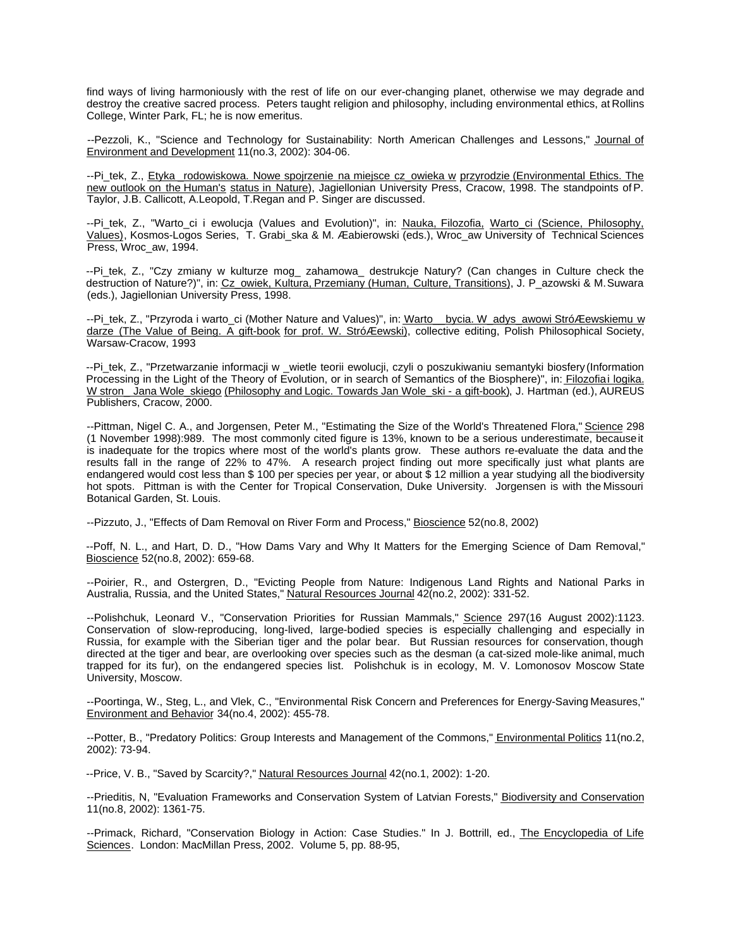find ways of living harmoniously with the rest of life on our ever-changing planet, otherwise we may degrade and destroy the creative sacred process. Peters taught religion and philosophy, including environmental ethics, at Rollins College, Winter Park, FL; he is now emeritus.

--Pezzoli, K., "Science and Technology for Sustainability: North American Challenges and Lessons," Journal of Environment and Development 11(no.3, 2002): 304-06.

--Pi\_tek, Z., Etyka \_rodowiskowa. Nowe spojrzenie na miejsce cz\_owieka w przyrodzie (Environmental Ethics. The new outlook on the Human's status in Nature), Jagiellonian University Press, Cracow, 1998. The standpoints of P. Taylor, J.B. Callicott, A.Leopold, T.Regan and P. Singer are discussed.

--Pi\_tek, Z., "Warto\_ci i ewolucja (Values and Evolution)", in: Nauka, Filozofia, Warto\_ci (Science, Philosophy, Values), Kosmos-Logos Series, T. Grabi\_ska & M. Æabierowski (eds.), Wroc\_aw University of Technical Sciences Press, Wroc\_aw, 1994.

--Pi\_tek, Z., "Czy zmiany w kulturze mog\_ zahamowa\_ destrukcje Natury? (Can changes in Culture check the destruction of Nature?)", in: Cz\_owiek, Kultura, Przemiany (Human, Culture, Transitions), J. P\_azowski & M. Suwara (eds.), Jagiellonian University Press, 1998.

--Pi\_tek, Z., "Przyroda i warto\_ci (Mother Nature and Values)", in: Warto\_\_ bycia. W\_adys\_awowi StróÆewskiemu w darze (The Value of Being. A gift-book for prof. W. StróÆewski), collective editing, Polish Philosophical Society, Warsaw-Cracow, 1993

--Pi\_tek, Z., "Przetwarzanie informacji w \_wietle teorii ewolucji, czyli o poszukiwaniu semantyki biosfery (Information Processing in the Light of the Theory of Evolution, or in search of Semantics of the Biosphere)", in: Filozofia i logika. W stron\_Jana Wole\_skiego (Philosophy and Logic. Towards Jan Wole\_ski - a gift-book), J. Hartman (ed.), AUREUS Publishers, Cracow, 2000.

--Pittman, Nigel C. A., and Jorgensen, Peter M., "Estimating the Size of the World's Threatened Flora," Science 298 (1 November 1998):989. The most commonly cited figure is 13%, known to be a serious underestimate, because it is inadequate for the tropics where most of the world's plants grow. These authors re-evaluate the data and the results fall in the range of 22% to 47%. A research project finding out more specifically just what plants are endangered would cost less than \$ 100 per species per year, or about \$ 12 million a year studying all the biodiversity hot spots. Pittman is with the Center for Tropical Conservation, Duke University. Jorgensen is with the Missouri Botanical Garden, St. Louis.

--Pizzuto, J., "Effects of Dam Removal on River Form and Process," Bioscience 52(no.8, 2002)

--Poff, N. L., and Hart, D. D., "How Dams Vary and Why It Matters for the Emerging Science of Dam Removal," Bioscience 52(no.8, 2002): 659-68.

--Poirier, R., and Ostergren, D., "Evicting People from Nature: Indigenous Land Rights and National Parks in Australia, Russia, and the United States," Natural Resources Journal 42(no.2, 2002): 331-52.

--Polishchuk, Leonard V., "Conservation Priorities for Russian Mammals," Science 297(16 August 2002):1123. Conservation of slow-reproducing, long-lived, large-bodied species is especially challenging and especially in Russia, for example with the Siberian tiger and the polar bear. But Russian resources for conservation, though directed at the tiger and bear, are overlooking over species such as the desman (a cat-sized mole-like animal, much trapped for its fur), on the endangered species list. Polishchuk is in ecology, M. V. Lomonosov Moscow State University, Moscow.

--Poortinga, W., Steg, L., and Vlek, C., "Environmental Risk Concern and Preferences for Energy-Saving Measures," Environment and Behavior 34(no.4, 2002): 455-78.

--Potter, B., "Predatory Politics: Group Interests and Management of the Commons," Environmental Politics 11(no.2, 2002): 73-94.

--Price, V. B., "Saved by Scarcity?," Natural Resources Journal 42(no.1, 2002): 1-20.

--Prieditis, N, "Evaluation Frameworks and Conservation System of Latvian Forests," Biodiversity and Conservation 11(no.8, 2002): 1361-75.

--Primack, Richard, "Conservation Biology in Action: Case Studies." In J. Bottrill, ed., The Encyclopedia of Life Sciences. London: MacMillan Press, 2002. Volume 5, pp. 88-95,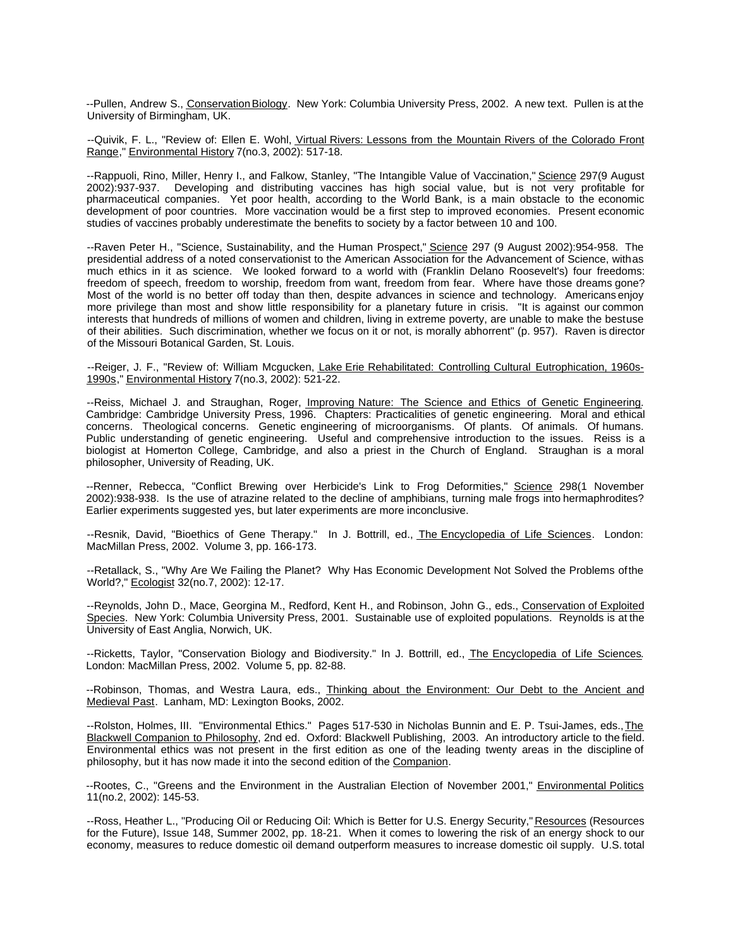--Pullen, Andrew S., Conservation Biology. New York: Columbia University Press, 2002. A new text. Pullen is at the University of Birmingham, UK.

--Quivik, F. L., "Review of: Ellen E. Wohl, Virtual Rivers: Lessons from the Mountain Rivers of the Colorado Front Range," Environmental History 7(no.3, 2002): 517-18.

--Rappuoli, Rino, Miller, Henry I., and Falkow, Stanley, "The Intangible Value of Vaccination," Science 297(9 August 2002):937-937. Developing and distributing vaccines has high social value, but is not very profitable for pharmaceutical companies. Yet poor health, according to the World Bank, is a main obstacle to the economic development of poor countries. More vaccination would be a first step to improved economies. Present economic studies of vaccines probably underestimate the benefits to society by a factor between 10 and 100.

--Raven Peter H., "Science, Sustainability, and the Human Prospect," Science 297 (9 August 2002):954-958. The presidential address of a noted conservationist to the American Association for the Advancement of Science, with as much ethics in it as science. We looked forward to a world with (Franklin Delano Roosevelt's) four freedoms: freedom of speech, freedom to worship, freedom from want, freedom from fear. Where have those dreams gone? Most of the world is no better off today than then, despite advances in science and technology. Americans enjoy more privilege than most and show little responsibility for a planetary future in crisis. "It is against our common interests that hundreds of millions of women and children, living in extreme poverty, are unable to make the bestuse of their abilities. Such discrimination, whether we focus on it or not, is morally abhorrent" (p. 957). Raven is director of the Missouri Botanical Garden, St. Louis.

--Reiger, J. F., "Review of: William Mcgucken, Lake Erie Rehabilitated: Controlling Cultural Eutrophication, 1960s-1990s," Environmental History 7(no.3, 2002): 521-22.

--Reiss, Michael J. and Straughan, Roger, Improving Nature: The Science and Ethics of Genetic Engineering. Cambridge: Cambridge University Press, 1996. Chapters: Practicalities of genetic engineering. Moral and ethical concerns. Theological concerns. Genetic engineering of microorganisms. Of plants. Of animals. Of humans. Public understanding of genetic engineering. Useful and comprehensive introduction to the issues. Reiss is a biologist at Homerton College, Cambridge, and also a priest in the Church of England. Straughan is a moral philosopher, University of Reading, UK.

--Renner, Rebecca, "Conflict Brewing over Herbicide's Link to Frog Deformities," Science 298(1 November 2002):938-938. Is the use of atrazine related to the decline of amphibians, turning male frogs into hermaphrodites? Earlier experiments suggested yes, but later experiments are more inconclusive.

--Resnik, David, "Bioethics of Gene Therapy." In J. Bottrill, ed., The Encyclopedia of Life Sciences. London: MacMillan Press, 2002. Volume 3, pp. 166-173.

--Retallack, S., "Why Are We Failing the Planet? Why Has Economic Development Not Solved the Problems of the World?," Ecologist 32(no.7, 2002): 12-17.

--Reynolds, John D., Mace, Georgina M., Redford, Kent H., and Robinson, John G., eds., Conservation of Exploited Species. New York: Columbia University Press, 2001. Sustainable use of exploited populations. Reynolds is at the University of East Anglia, Norwich, UK.

--Ricketts, Taylor, "Conservation Biology and Biodiversity." In J. Bottrill, ed., The Encyclopedia of Life Sciences. London: MacMillan Press, 2002. Volume 5, pp. 82-88.

--Robinson, Thomas, and Westra Laura, eds., Thinking about the Environment: Our Debt to the Ancient and Medieval Past. Lanham, MD: Lexington Books, 2002.

--Rolston, Holmes, III. "Environmental Ethics." Pages 517-530 in Nicholas Bunnin and E. P. Tsui-James, eds., The Blackwell Companion to Philosophy, 2nd ed. Oxford: Blackwell Publishing, 2003. An introductory article to the field. Environmental ethics was not present in the first edition as one of the leading twenty areas in the discipline of philosophy, but it has now made it into the second edition of the Companion.

--Rootes, C., "Greens and the Environment in the Australian Election of November 2001," Environmental Politics 11(no.2, 2002): 145-53.

--Ross, Heather L., "Producing Oil or Reducing Oil: Which is Better for U.S. Energy Security," Resources (Resources for the Future), Issue 148, Summer 2002, pp. 18-21. When it comes to lowering the risk of an energy shock to our economy, measures to reduce domestic oil demand outperform measures to increase domestic oil supply. U.S. total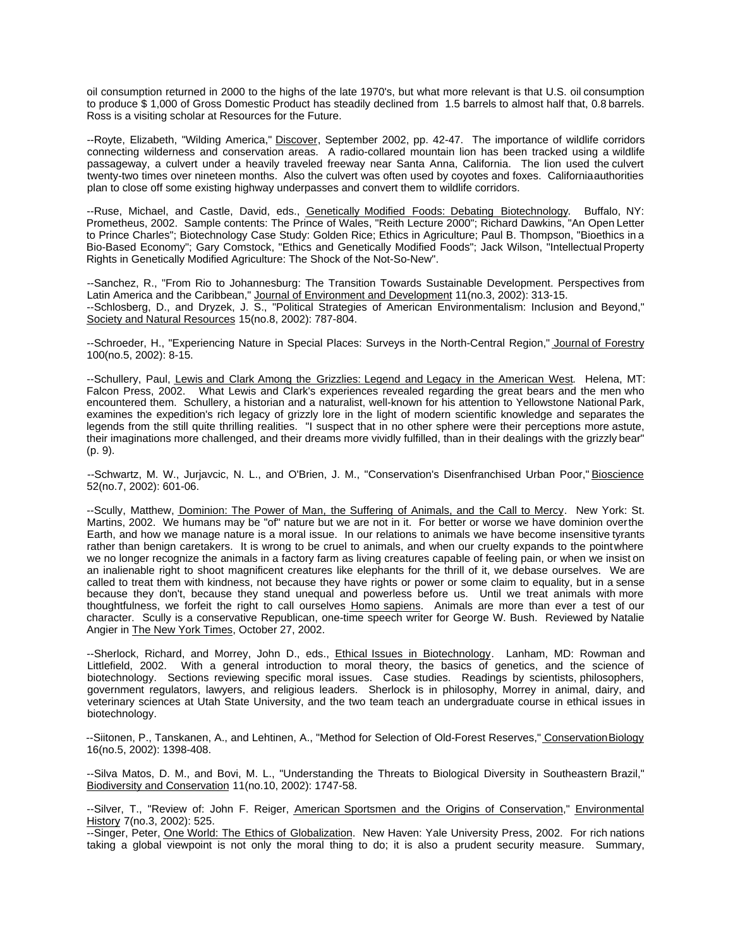oil consumption returned in 2000 to the highs of the late 1970's, but what more relevant is that U.S. oil consumption to produce \$ 1,000 of Gross Domestic Product has steadily declined from 1.5 barrels to almost half that, 0.8 barrels. Ross is a visiting scholar at Resources for the Future.

--Royte, Elizabeth, "Wilding America," Discover, September 2002, pp. 42-47. The importance of wildlife corridors connecting wilderness and conservation areas. A radio-collared mountain lion has been tracked using a wildlife passageway, a culvert under a heavily traveled freeway near Santa Anna, California. The lion used the culvert twenty-two times over nineteen months. Also the culvert was often used by coyotes and foxes. California authorities plan to close off some existing highway underpasses and convert them to wildlife corridors.

--Ruse, Michael, and Castle, David, eds., Genetically Modified Foods: Debating Biotechnology. Buffalo, NY: Prometheus, 2002. Sample contents: The Prince of Wales, "Reith Lecture 2000"; Richard Dawkins, "An Open Letter to Prince Charles"; Biotechnology Case Study: Golden Rice; Ethics in Agriculture; Paul B. Thompson, "Bioethics in a Bio-Based Economy"; Gary Comstock, "Ethics and Genetically Modified Foods"; Jack Wilson, "Intellectual Property Rights in Genetically Modified Agriculture: The Shock of the Not-So-New".

--Sanchez, R., "From Rio to Johannesburg: The Transition Towards Sustainable Development. Perspectives from Latin America and the Caribbean," Journal of Environment and Development 11(no.3, 2002): 313-15. --Schlosberg, D., and Dryzek, J. S., "Political Strategies of American Environmentalism: Inclusion and Beyond," Society and Natural Resources 15(no.8, 2002): 787-804.

--Schroeder, H., "Experiencing Nature in Special Places: Surveys in the North-Central Region," Journal of Forestry 100(no.5, 2002): 8-15.

--Schullery, Paul, Lewis and Clark Among the Grizzlies: Legend and Legacy in the American West. Helena, MT: Falcon Press, 2002. What Lewis and Clark's experiences revealed regarding the great bears and the men who encountered them. Schullery, a historian and a naturalist, well-known for his attention to Yellowstone National Park, examines the expedition's rich legacy of grizzly lore in the light of modern scientific knowledge and separates the legends from the still quite thrilling realities. "I suspect that in no other sphere were their perceptions more astute, their imaginations more challenged, and their dreams more vividly fulfilled, than in their dealings with the grizzly bear" (p. 9).

--Schwartz, M. W., Jurjavcic, N. L., and O'Brien, J. M., "Conservation's Disenfranchised Urban Poor," Bioscience 52(no.7, 2002): 601-06.

--Scully, Matthew, Dominion: The Power of Man, the Suffering of Animals, and the Call to Mercy. New York: St. Martins, 2002. We humans may be "of" nature but we are not in it. For better or worse we have dominion over the Earth, and how we manage nature is a moral issue. In our relations to animals we have become insensitive tyrants rather than benign caretakers. It is wrong to be cruel to animals, and when our cruelty expands to the point where we no longer recognize the animals in a factory farm as living creatures capable of feeling pain, or when we insist on an inalienable right to shoot magnificent creatures like elephants for the thrill of it, we debase ourselves. We are called to treat them with kindness, not because they have rights or power or some claim to equality, but in a sense because they don't, because they stand unequal and powerless before us. Until we treat animals with more thoughtfulness, we forfeit the right to call ourselves Homo sapiens. Animals are more than ever a test of our character. Scully is a conservative Republican, one-time speech writer for George W. Bush. Reviewed by Natalie Angier in The New York Times, October 27, 2002.

--Sherlock, Richard, and Morrey, John D., eds., Ethical Issues in Biotechnology. Lanham, MD: Rowman and Littlefield, 2002. With a general introduction to moral theory, the basics of genetics, and the science of biotechnology. Sections reviewing specific moral issues. Case studies. Readings by scientists, philosophers, government regulators, lawyers, and religious leaders. Sherlock is in philosophy, Morrey in animal, dairy, and veterinary sciences at Utah State University, and the two team teach an undergraduate course in ethical issues in biotechnology.

--Siitonen, P., Tanskanen, A., and Lehtinen, A., "Method for Selection of Old-Forest Reserves," Conservation Biology 16(no.5, 2002): 1398-408.

--Silva Matos, D. M., and Bovi, M. L., "Understanding the Threats to Biological Diversity in Southeastern Brazil," Biodiversity and Conservation 11(no.10, 2002): 1747-58.

--Silver, T., "Review of: John F. Reiger, American Sportsmen and the Origins of Conservation," Environmental History 7(no.3, 2002): 525.

--Singer, Peter, One World: The Ethics of Globalization. New Haven: Yale University Press, 2002. For rich nations taking a global viewpoint is not only the moral thing to do; it is also a prudent security measure. Summary,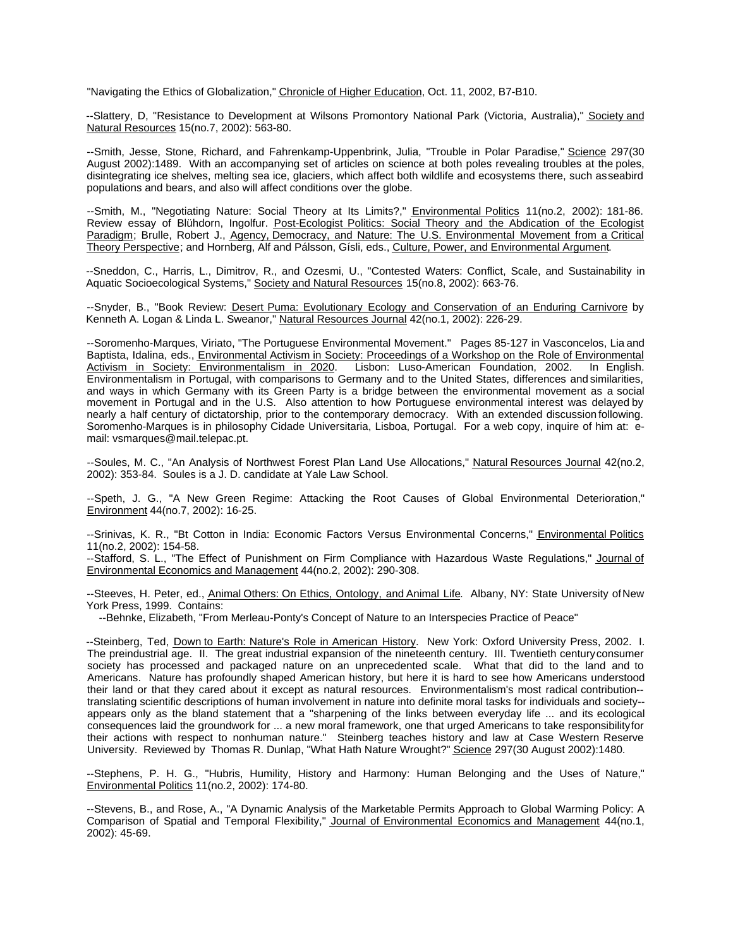"Navigating the Ethics of Globalization," Chronicle of Higher Education, Oct. 11, 2002, B7-B10.

--Slattery, D, "Resistance to Development at Wilsons Promontory National Park (Victoria, Australia)," Society and Natural Resources 15(no.7, 2002): 563-80.

--Smith, Jesse, Stone, Richard, and Fahrenkamp-Uppenbrink, Julia, "Trouble in Polar Paradise," Science 297(30 August 2002):1489. With an accompanying set of articles on science at both poles revealing troubles at the poles, disintegrating ice shelves, melting sea ice, glaciers, which affect both wildlife and ecosystems there, such as seabird populations and bears, and also will affect conditions over the globe.

--Smith, M., "Negotiating Nature: Social Theory at Its Limits?," Environmental Politics 11(no.2, 2002): 181-86. Review essay of Blühdorn, Ingolfur. Post-Ecologist Politics: Social Theory and the Abdication of the Ecologist Paradigm; Brulle, Robert J., Agency, Democracy, and Nature: The U.S. Environmental Movement from a Critical Theory Perspective; and Hornberg, Alf and Pálsson, Gísli, eds., Culture, Power, and Environmental Argument.

--Sneddon, C., Harris, L., Dimitrov, R., and Ozesmi, U., "Contested Waters: Conflict, Scale, and Sustainability in Aquatic Socioecological Systems," Society and Natural Resources 15(no.8, 2002): 663-76.

--Snyder, B., "Book Review: Desert Puma: Evolutionary Ecology and Conservation of an Enduring Carnivore by Kenneth A. Logan & Linda L. Sweanor," Natural Resources Journal 42(no.1, 2002): 226-29.

--Soromenho-Marques, Viriato, "The Portuguese Environmental Movement." Pages 85-127 in Vasconcelos, Lia and Baptista, Idalina, eds., Environmental Activism in Society: Proceedings of a Workshop on the Role of Environmental<br>Activism in Society: Environmentalism in 2020. Lisbon: Luso-American Foundation, 2002. In English. Activism in Society: Environmentalism in 2020. Lisbon: Luso-American Foundation, 2002. Environmentalism in Portugal, with comparisons to Germany and to the United States, differences and similarities, and ways in which Germany with its Green Party is a bridge between the environmental movement as a social movement in Portugal and in the U.S. Also attention to how Portuguese environmental interest was delayed by nearly a half century of dictatorship, prior to the contemporary democracy. With an extended discussion following. Soromenho-Marques is in philosophy Cidade Universitaria, Lisboa, Portugal. For a web copy, inquire of him at: email: vsmarques@mail.telepac.pt.

--Soules, M. C., "An Analysis of Northwest Forest Plan Land Use Allocations," Natural Resources Journal 42(no.2, 2002): 353-84. Soules is a J. D. candidate at Yale Law School.

--Speth, J. G., "A New Green Regime: Attacking the Root Causes of Global Environmental Deterioration," Environment 44(no.7, 2002): 16-25.

--Srinivas, K. R., "Bt Cotton in India: Economic Factors Versus Environmental Concerns," Environmental Politics 11(no.2, 2002): 154-58.

--Stafford, S. L., "The Effect of Punishment on Firm Compliance with Hazardous Waste Regulations," Journal of Environmental Economics and Management 44(no.2, 2002): 290-308.

--Steeves, H. Peter, ed., Animal Others: On Ethics, Ontology, and Animal Life. Albany, NY: State University of New York Press, 1999. Contains:

--Behnke, Elizabeth, "From Merleau-Ponty's Concept of Nature to an Interspecies Practice of Peace"

--Steinberg, Ted, Down to Earth: Nature's Role in American History. New York: Oxford University Press, 2002. I. The preindustrial age. II. The great industrial expansion of the nineteenth century. III. Twentieth century consumer society has processed and packaged nature on an unprecedented scale. What that did to the land and to Americans. Nature has profoundly shaped American history, but here it is hard to see how Americans understood their land or that they cared about it except as natural resources. Environmentalism's most radical contribution- translating scientific descriptions of human involvement in nature into definite moral tasks for individuals and society- appears only as the bland statement that a "sharpening of the links between everyday life ... and its ecological consequences laid the groundwork for ... a new moral framework, one that urged Americans to take responsibility for their actions with respect to nonhuman nature." Steinberg teaches history and law at Case Western Reserve University. Reviewed by Thomas R. Dunlap, "What Hath Nature Wrought?" Science 297(30 August 2002):1480.

--Stephens, P. H. G., "Hubris, Humility, History and Harmony: Human Belonging and the Uses of Nature," Environmental Politics 11(no.2, 2002): 174-80.

--Stevens, B., and Rose, A., "A Dynamic Analysis of the Marketable Permits Approach to Global Warming Policy: A Comparison of Spatial and Temporal Flexibility," Journal of Environmental Economics and Management 44(no.1, 2002): 45-69.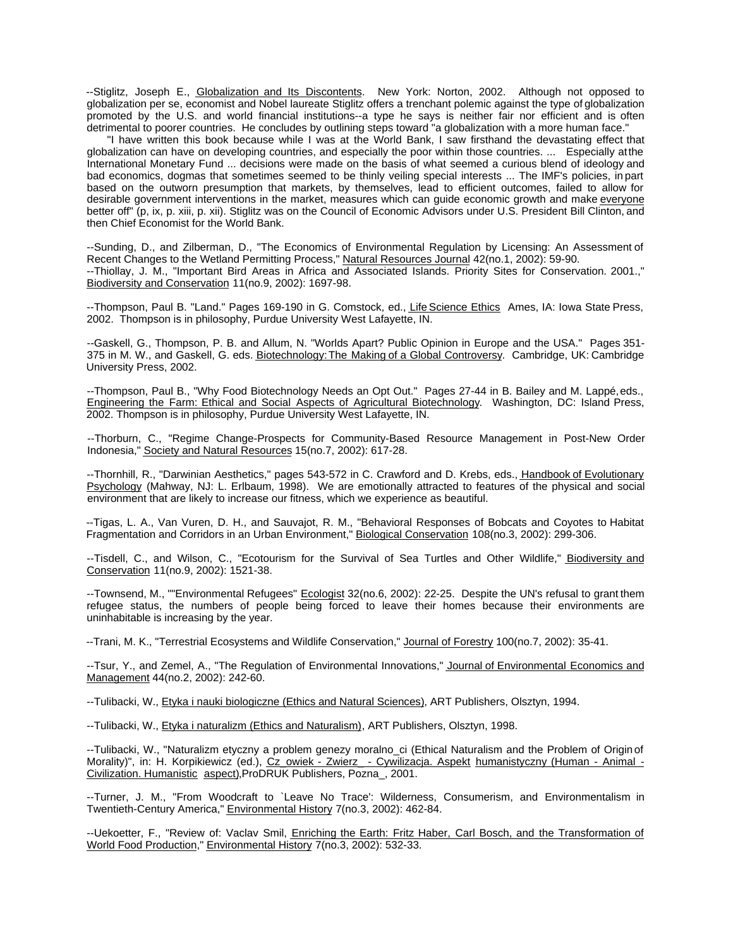--Stiglitz, Joseph E., Globalization and Its Discontents. New York: Norton, 2002. Although not opposed to globalization per se, economist and Nobel laureate Stiglitz offers a trenchant polemic against the type of globalization promoted by the U.S. and world financial institutions--a type he says is neither fair nor efficient and is often detrimental to poorer countries. He concludes by outlining steps toward "a globalization with a more human face."

"I have written this book because while I was at the World Bank, I saw firsthand the devastating effect that globalization can have on developing countries, and especially the poor within those countries. ... Especially at the International Monetary Fund ... decisions were made on the basis of what seemed a curious blend of ideology and bad economics, dogmas that sometimes seemed to be thinly veiling special interests ... The IMF's policies, in part based on the outworn presumption that markets, by themselves, lead to efficient outcomes, failed to allow for desirable government interventions in the market, measures which can guide economic growth and make everyone better off" (p, ix, p. xiii, p. xii). Stiglitz was on the Council of Economic Advisors under U.S. President Bill Clinton, and then Chief Economist for the World Bank.

--Sunding, D., and Zilberman, D., "The Economics of Environmental Regulation by Licensing: An Assessment of Recent Changes to the Wetland Permitting Process," Natural Resources Journal 42(no.1, 2002): 59-90. --Thiollay, J. M., "Important Bird Areas in Africa and Associated Islands. Priority Sites for Conservation. 2001.," Biodiversity and Conservation 11(no.9, 2002): 1697-98.

--Thompson, Paul B. "Land." Pages 169-190 in G. Comstock, ed., Life Science Ethics Ames, IA: Iowa State Press, 2002. Thompson is in philosophy, Purdue University West Lafayette, IN.

--Gaskell, G., Thompson, P. B. and Allum, N. "Worlds Apart? Public Opinion in Europe and the USA." Pages 351- 375 in M. W., and Gaskell, G. eds. Biotechnology: The Making of a Global Controversy. Cambridge, UK: Cambridge University Press, 2002.

--Thompson, Paul B., "Why Food Biotechnology Needs an Opt Out." Pages 27-44 in B. Bailey and M. Lappé, eds., Engineering the Farm: Ethical and Social Aspects of Agricultural Biotechnology. Washington, DC: Island Press, 2002. Thompson is in philosophy, Purdue University West Lafayette, IN.

--Thorburn, C., "Regime Change-Prospects for Community-Based Resource Management in Post-New Order Indonesia," Society and Natural Resources 15(no.7, 2002): 617-28.

--Thornhill, R., "Darwinian Aesthetics," pages 543-572 in C. Crawford and D. Krebs, eds., Handbook of Evolutionary Psychology (Mahway, NJ: L. Erlbaum, 1998). We are emotionally attracted to features of the physical and social environment that are likely to increase our fitness, which we experience as beautiful.

--Tigas, L. A., Van Vuren, D. H., and Sauvajot, R. M., "Behavioral Responses of Bobcats and Coyotes to Habitat Fragmentation and Corridors in an Urban Environment," Biological Conservation 108(no.3, 2002): 299-306.

--Tisdell, C., and Wilson, C., "Ecotourism for the Survival of Sea Turtles and Other Wildlife," Biodiversity and Conservation 11(no.9, 2002): 1521-38.

--Townsend, M., ""Environmental Refugees" Ecologist 32(no.6, 2002): 22-25. Despite the UN's refusal to grant them refugee status, the numbers of people being forced to leave their homes because their environments are uninhabitable is increasing by the year.

--Trani, M. K., "Terrestrial Ecosystems and Wildlife Conservation," Journal of Forestry 100(no.7, 2002): 35-41.

--Tsur, Y., and Zemel, A., "The Regulation of Environmental Innovations," Journal of Environmental Economics and Management 44(no.2, 2002): 242-60.

--Tulibacki, W., Etyka i nauki biologiczne (Ethics and Natural Sciences), ART Publishers, Olsztyn, 1994.

--Tulibacki, W., Etyka i naturalizm (Ethics and Naturalism), ART Publishers, Olsztyn, 1998.

--Tulibacki, W., "Naturalizm etyczny a problem genezy moralno\_ci (Ethical Naturalism and the Problem of Origin of Morality)", in: H. Korpikiewicz (ed.), Cz\_owiek - Zwierz\_ - Cywilizacja. Aspekt humanistyczny (Human - Animal -Civilization. Humanistic aspect),ProDRUK Publishers, Pozna\_, 2001.

--Turner, J. M., "From Woodcraft to `Leave No Trace': Wilderness, Consumerism, and Environmentalism in Twentieth-Century America," Environmental History 7(no.3, 2002): 462-84.

--Uekoetter, F., "Review of: Vaclav Smil, Enriching the Earth: Fritz Haber, Carl Bosch, and the Transformation of World Food Production," Environmental History 7(no.3, 2002): 532-33.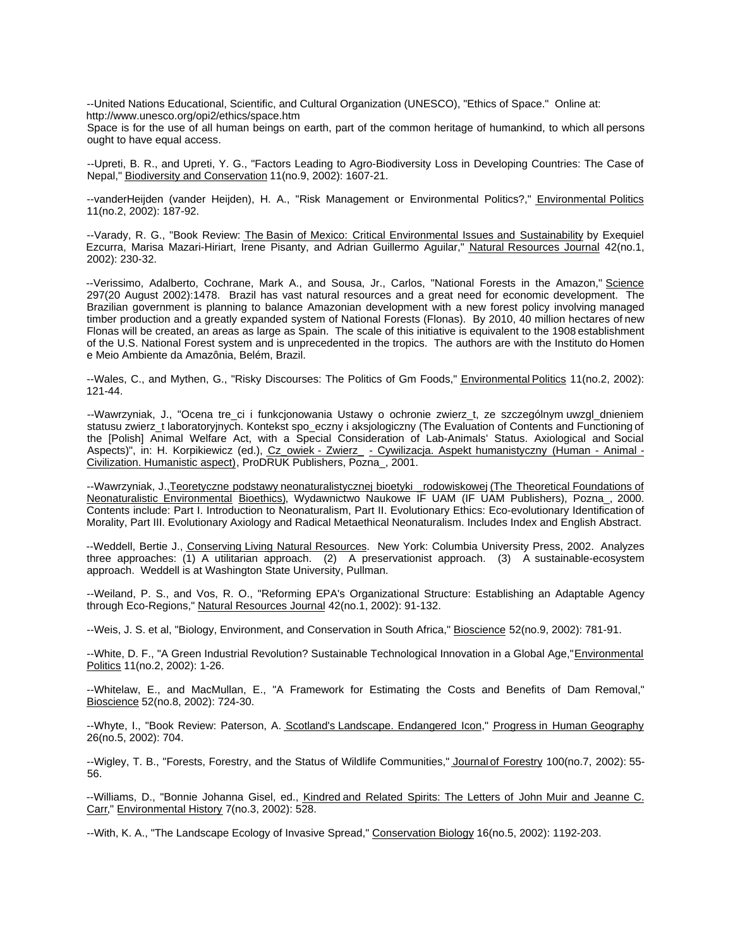--United Nations Educational, Scientific, and Cultural Organization (UNESCO), "Ethics of Space." Online at: http://www.unesco.org/opi2/ethics/space.htm

Space is for the use of all human beings on earth, part of the common heritage of humankind, to which all persons ought to have equal access.

--Upreti, B. R., and Upreti, Y. G., "Factors Leading to Agro-Biodiversity Loss in Developing Countries: The Case of Nepal," Biodiversity and Conservation 11(no.9, 2002): 1607-21.

--vanderHeijden (vander Heijden), H. A., "Risk Management or Environmental Politics?," Environmental Politics 11(no.2, 2002): 187-92.

--Varady, R. G., "Book Review: The Basin of Mexico: Critical Environmental Issues and Sustainability by Exequiel Ezcurra, Marisa Mazari-Hiriart, Irene Pisanty, and Adrian Guillermo Aguilar," Natural Resources Journal 42(no.1, 2002): 230-32.

--Verissimo, Adalberto, Cochrane, Mark A., and Sousa, Jr., Carlos, "National Forests in the Amazon," Science 297(20 August 2002):1478. Brazil has vast natural resources and a great need for economic development. The Brazilian government is planning to balance Amazonian development with a new forest policy involving managed timber production and a greatly expanded system of National Forests (Flonas). By 2010, 40 million hectares of new Flonas will be created, an areas as large as Spain. The scale of this initiative is equivalent to the 1908 establishment of the U.S. National Forest system and is unprecedented in the tropics. The authors are with the Instituto do Homen e Meio Ambiente da Amazônia, Belém, Brazil.

--Wales, C., and Mythen, G., "Risky Discourses: The Politics of Gm Foods," Environmental Politics 11(no.2, 2002): 121-44.

--Wawrzyniak, J., "Ocena tre\_ci i funkcjonowania Ustawy o ochronie zwierz\_t, ze szczególnym uwzgl\_dnieniem statusu zwierz\_t laboratoryjnych. Kontekst spo\_eczny i aksjologiczny (The Evaluation of Contents and Functioning of the [Polish] Animal Welfare Act, with a Special Consideration of Lab-Animals' Status. Axiological and Social Aspects)", in: H. Korpikiewicz (ed.), Cz\_owiek - Zwierz\_ - Cywilizacja. Aspekt humanistyczny (Human - Animal -Civilization. Humanistic aspect), ProDRUK Publishers, Pozna\_, 2001.

--Wawrzyniak, J.,Teoretyczne podstawy neonaturalistycznej bioetyki \_rodowiskowej (The Theoretical Foundations of Neonaturalistic Environmental Bioethics), Wydawnictwo Naukowe IF UAM (IF UAM Publishers), Pozna\_, 2000. Contents include: Part I. Introduction to Neonaturalism, Part II. Evolutionary Ethics: Eco-evolutionary Identification of Morality, Part III. Evolutionary Axiology and Radical Metaethical Neonaturalism. Includes Index and English Abstract.

--Weddell, Bertie J., Conserving Living Natural Resources. New York: Columbia University Press, 2002. Analyzes three approaches: (1) A utilitarian approach. (2) A preservationist approach. (3) A sustainable-ecosystem approach. Weddell is at Washington State University, Pullman.

--Weiland, P. S., and Vos, R. O., "Reforming EPA's Organizational Structure: Establishing an Adaptable Agency through Eco-Regions," Natural Resources Journal 42(no.1, 2002): 91-132.

--Weis, J. S. et al, "Biology, Environment, and Conservation in South Africa," Bioscience 52(no.9, 2002): 781-91.

--White, D. F., "A Green Industrial Revolution? Sustainable Technological Innovation in a Global Age," Environmental Politics 11(no.2, 2002): 1-26.

--Whitelaw, E., and MacMullan, E., "A Framework for Estimating the Costs and Benefits of Dam Removal," Bioscience 52(no.8, 2002): 724-30.

--Whyte, I., "Book Review: Paterson, A. Scotland's Landscape. Endangered Icon," Progress in Human Geography 26(no.5, 2002): 704.

--Wigley, T. B., "Forests, Forestry, and the Status of Wildlife Communities," Journal of Forestry 100(no.7, 2002): 55- 56.

--Williams, D., "Bonnie Johanna Gisel, ed., Kindred and Related Spirits: The Letters of John Muir and Jeanne C. Carr," Environmental History 7(no.3, 2002): 528.

--With, K. A., "The Landscape Ecology of Invasive Spread," Conservation Biology 16(no.5, 2002): 1192-203.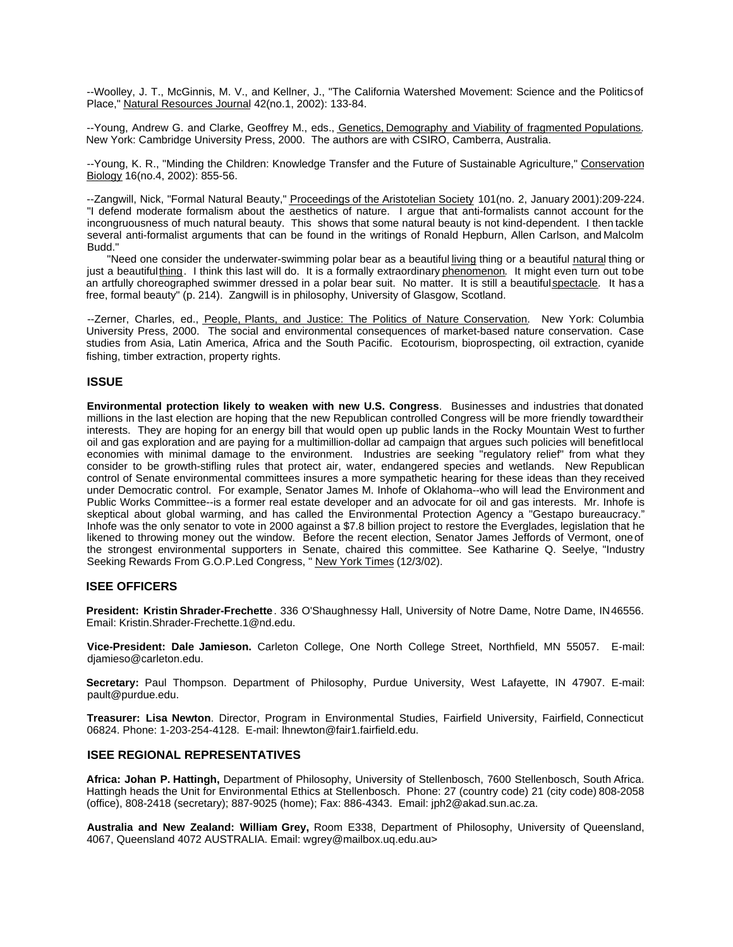--Woolley, J. T., McGinnis, M. V., and Kellner, J., "The California Watershed Movement: Science and the Politics of Place," Natural Resources Journal 42(no.1, 2002): 133-84.

--Young, Andrew G. and Clarke, Geoffrey M., eds., <u>Genetics, Demography and Viability of fragmented Populations</u>. New York: Cambridge University Press, 2000. The authors are with CSIRO, Camberra, Australia.

--Young, K. R., "Minding the Children: Knowledge Transfer and the Future of Sustainable Agriculture," Conservation Biology 16(no.4, 2002): 855-56.

--Zangwill, Nick, "Formal Natural Beauty," Proceedings of the Aristotelian Society 101(no. 2, January 2001):209-224. "I defend moderate formalism about the aesthetics of nature. I argue that anti-formalists cannot account for the incongruousness of much natural beauty. This shows that some natural beauty is not kind-dependent. I then tackle several anti-formalist arguments that can be found in the writings of Ronald Hepburn, Allen Carlson, and Malcolm Budd."

"Need one consider the underwater-swimming polar bear as a beautiful living thing or a beautiful natural thing or just a beautiful thing. I think this last will do. It is a formally extraordinary phenomenon. It might even turn out to be an artfully choreographed swimmer dressed in a polar bear suit. No matter. It is still a beautiful spectacle. It has a free, formal beauty" (p. 214). Zangwill is in philosophy, University of Glasgow, Scotland.

--Zerner, Charles, ed., People, Plants, and Justice: The Politics of Nature Conservation. New York: Columbia University Press, 2000. The social and environmental consequences of market-based nature conservation. Case studies from Asia, Latin America, Africa and the South Pacific. Ecotourism, bioprospecting, oil extraction, cyanide fishing, timber extraction, property rights.

# **ISSUE**

**Environmental protection likely to weaken with new U.S. Congress**. Businesses and industries that donated millions in the last election are hoping that the new Republican controlled Congress will be more friendly toward their interests. They are hoping for an energy bill that would open up public lands in the Rocky Mountain West to further oil and gas exploration and are paying for a multimillion-dollar ad campaign that argues such policies will benefit local economies with minimal damage to the environment. Industries are seeking "regulatory relief" from what they consider to be growth-stifling rules that protect air, water, endangered species and wetlands. New Republican control of Senate environmental committees insures a more sympathetic hearing for these ideas than they received under Democratic control. For example, Senator James M. Inhofe of Oklahoma--who will lead the Environment and Public Works Committee--is a former real estate developer and an advocate for oil and gas interests. Mr. Inhofe is skeptical about global warming, and has called the Environmental Protection Agency a "Gestapo bureaucracy." Inhofe was the only senator to vote in 2000 against a \$7.8 billion project to restore the Everglades, legislation that he likened to throwing money out the window. Before the recent election, Senator James Jeffords of Vermont, one of the strongest environmental supporters in Senate, chaired this committee. See Katharine Q. Seelye, "Industry Seeking Rewards From G.O.P.Led Congress, " New York Times (12/3/02).

# **ISEE OFFICERS**

**President: Kristin Shrader-Frechette**. 336 O'Shaughnessy Hall, University of Notre Dame, Notre Dame, IN 46556. Email: Kristin.Shrader-Frechette.1@nd.edu.

**Vice-President: Dale Jamieson.** Carleton College, One North College Street, Northfield, MN 55057. E-mail: djamieso@carleton.edu.

**Secretary:** Paul Thompson. Department of Philosophy, Purdue University, West Lafayette, IN 47907. E-mail: pault@purdue.edu.

**Treasurer: Lisa Newton**. Director, Program in Environmental Studies, Fairfield University, Fairfield, Connecticut 06824. Phone: 1-203-254-4128. E-mail: lhnewton@fair1.fairfield.edu.

# **ISEE REGIONAL REPRESENTATIVES**

**Africa: Johan P. Hattingh,** Department of Philosophy, University of Stellenbosch, 7600 Stellenbosch, South Africa. Hattingh heads the Unit for Environmental Ethics at Stellenbosch. Phone: 27 (country code) 21 (city code) 808-2058 (office), 808-2418 (secretary); 887-9025 (home); Fax: 886-4343. Email: jph2@akad.sun.ac.za.

**Australia and New Zealand: William Grey,** Room E338, Department of Philosophy, University of Queensland, 4067, Queensland 4072 AUSTRALIA. Email: wgrey@mailbox.uq.edu.au>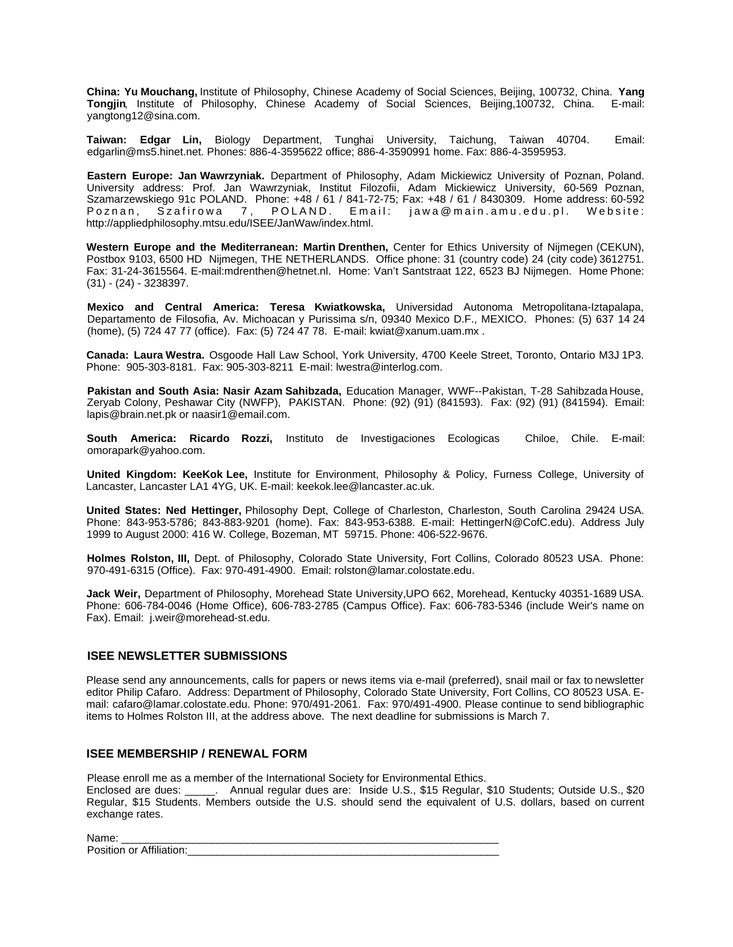**China: Yu Mouchang,** Institute of Philosophy, Chinese Academy of Social Sciences, Beijing, 100732, China. **Yang Tongjin**, Institute of Philosophy, Chinese Academy of Social Sciences, Beijing,100732, China. E-mail: yangtong12@sina.com.

**Taiwan: Edgar Lin,** Biology Department, Tunghai University, Taichung, Taiwan 40704. Email: edgarlin@ms5.hinet.net. Phones: 886-4-3595622 office; 886-4-3590991 home. Fax: 886-4-3595953.

**Eastern Europe: Jan Wawrzyniak.** Department of Philosophy, Adam Mickiewicz University of Poznan, Poland. University address: Prof. Jan Wawrzyniak, Institut Filozofii, Adam Mickiewicz University, 60-569 Poznan, Szamarzewskiego 91c POLAND. Phone: +48 / 61 / 841-72-75; Fax: +48 / 61 / 8430309. Home address: 60-592 Poznan, Szafirowa 7, POLAND. Email: jawa@main.amu.edu.pl. Website: http://appliedphilosophy.mtsu.edu/ISEE/JanWaw/index.html.

**Western Europe and the Mediterranean: Martin Drenthen,** Center for Ethics University of Nijmegen (CEKUN), Postbox 9103, 6500 HD Nijmegen, THE NETHERLANDS. Office phone: 31 (country code) 24 (city code) 3612751. Fax: 31-24-3615564. E-mail:mdrenthen@hetnet.nl. Home: Van't Santstraat 122, 6523 BJ Nijmegen. Home Phone: (31) - (24) - 3238397.

**Mexico and Central America: Teresa Kwiatkowska,** Universidad Autonoma Metropolitana-Iztapalapa, Departamento de Filosofia, Av. Michoacan y Purissima s/n, 09340 Mexico D.F., MEXICO. Phones: (5) 637 14 24 (home), (5) 724 47 77 (office). Fax: (5) 724 47 78. E-mail: kwiat@xanum.uam.mx .

**Canada: Laura Westra.** Osgoode Hall Law School, York University, 4700 Keele Street, Toronto, Ontario M3J 1P3. Phone: 905-303-8181. Fax: 905-303-8211 E-mail: lwestra@interlog.com.

**Pakistan and South Asia: Nasir Azam Sahibzada,** Education Manager, WWF--Pakistan, T-28 Sahibzada House, Zeryab Colony, Peshawar City (NWFP), PAKISTAN. Phone: (92) (91) (841593). Fax: (92) (91) (841594). Email: lapis@brain.net.pk or naasir1@email.com.

**South America: Ricardo Rozzi,** Instituto de Investigaciones Ecologicas Chiloe, Chile. E-mail: omorapark@yahoo.com.

**United Kingdom: KeeKok Lee,** Institute for Environment, Philosophy & Policy, Furness College, University of Lancaster, Lancaster LA1 4YG, UK. E-mail: keekok.lee@lancaster.ac.uk.

**United States: Ned Hettinger,** Philosophy Dept, College of Charleston, Charleston, South Carolina 29424 USA. Phone: 843-953-5786; 843-883-9201 (home). Fax: 843-953-6388. E-mail: HettingerN@CofC.edu). Address July 1999 to August 2000: 416 W. College, Bozeman, MT 59715. Phone: 406-522-9676.

**Holmes Rolston, III,** Dept. of Philosophy, Colorado State University, Fort Collins, Colorado 80523 USA. Phone: 970-491-6315 (Office). Fax: 970-491-4900. Email: rolston@lamar.colostate.edu.

**Jack Weir,** Department of Philosophy, Morehead State University,UPO 662, Morehead, Kentucky 40351-1689 USA. Phone: 606-784-0046 (Home Office), 606-783-2785 (Campus Office). Fax: 606-783-5346 (include Weir's name on Fax). Email: j.weir@morehead-st.edu.

## **ISEE NEWSLETTER SUBMISSIONS**

Please send any announcements, calls for papers or news items via e-mail (preferred), snail mail or fax to newsletter editor Philip Cafaro. Address: Department of Philosophy, Colorado State University, Fort Collins, CO 80523 USA. Email: cafaro@lamar.colostate.edu. Phone: 970/491-2061. Fax: 970/491-4900. Please continue to send bibliographic items to Holmes Rolston III, at the address above. The next deadline for submissions is March 7.

# **ISEE MEMBERSHIP / RENEWAL FORM**

Please enroll me as a member of the International Society for Environmental Ethics.

Enclosed are dues: \_\_\_\_\_. Annual regular dues are: Inside U.S., \$15 Regular, \$10 Students; Outside U.S., \$20 Regular, \$15 Students. Members outside the U.S. should send the equivalent of U.S. dollars, based on current exchange rates.

Name: \_\_\_\_\_\_\_\_\_\_\_\_\_\_\_\_\_\_\_\_\_\_\_\_\_\_\_\_\_\_\_\_\_\_\_\_\_\_\_\_\_\_\_\_\_\_\_\_\_\_\_\_\_\_\_\_\_\_\_\_\_\_\_ Position or Affiliation: